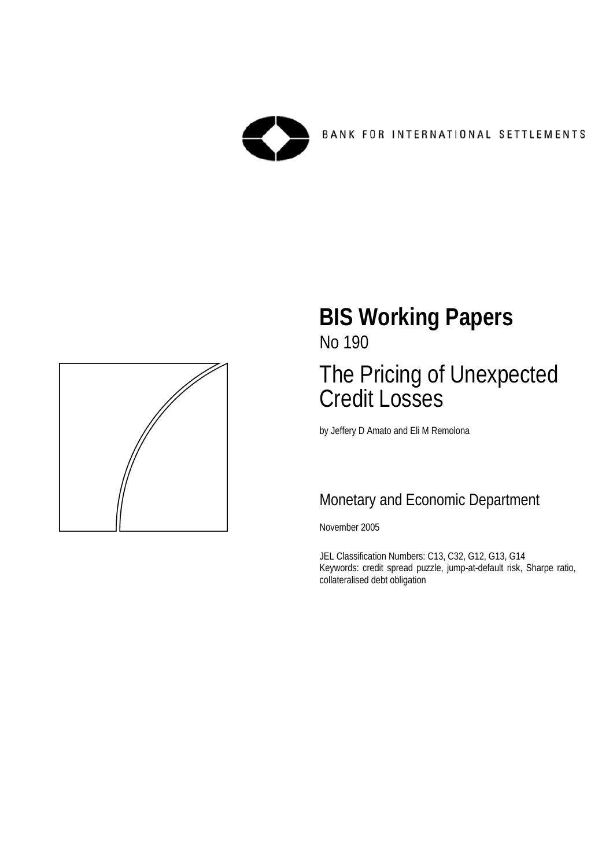



# **BIS Working Papers**  No 190

# The Pricing of Unexpected Credit Losses

by Jeffery D Amato and Eli M Remolona

# Monetary and Economic Department

November 2005

JEL Classification Numbers: C13, C32, G12, G13, G14 Keywords: credit spread puzzle, jump-at-default risk, Sharpe ratio, collateralised debt obligation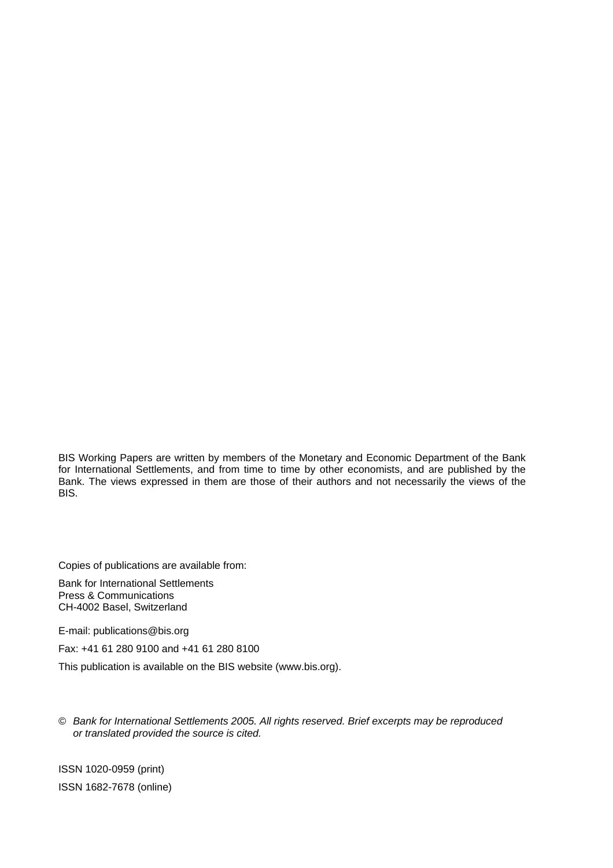BIS Working Papers are written by members of the Monetary and Economic Department of the Bank for International Settlements, and from time to time by other economists, and are published by the Bank. The views expressed in them are those of their authors and not necessarily the views of the BIS.

Copies of publications are available from:

Bank for International Settlements Press & Communications CH-4002 Basel, Switzerland

E-mail: publications@bis.org

Fax: +41 61 280 9100 and +41 61 280 8100

This publication is available on the BIS website (www.bis.org).

© *Bank for International Settlements 2005. All rights reserved. Brief excerpts may be reproduced or translated provided the source is cited.* 

ISSN 1020-0959 (print) ISSN 1682-7678 (online)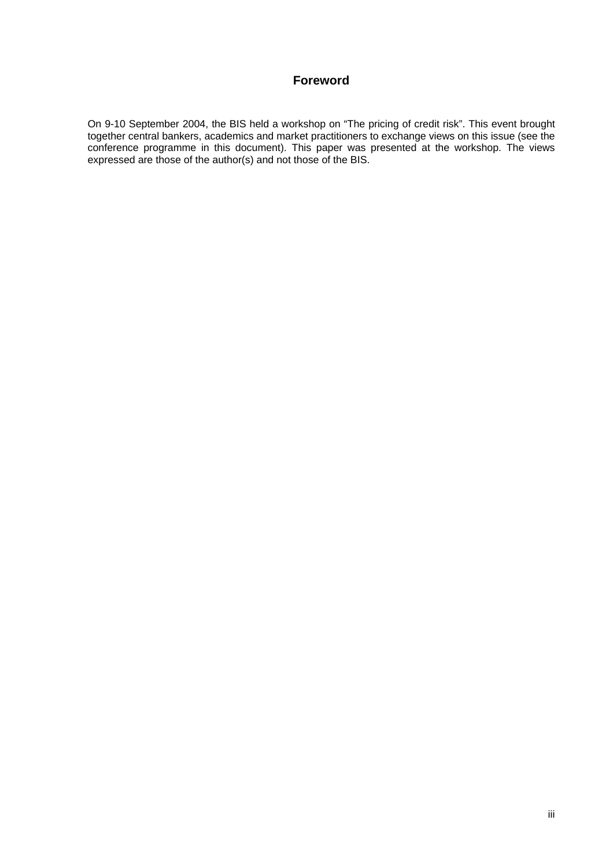#### **Foreword**

On 9-10 September 2004, the BIS held a workshop on "The pricing of credit risk". This event brought together central bankers, academics and market practitioners to exchange views on this issue (see the conference programme in this document). This paper was presented at the workshop. The views expressed are those of the author(s) and not those of the BIS.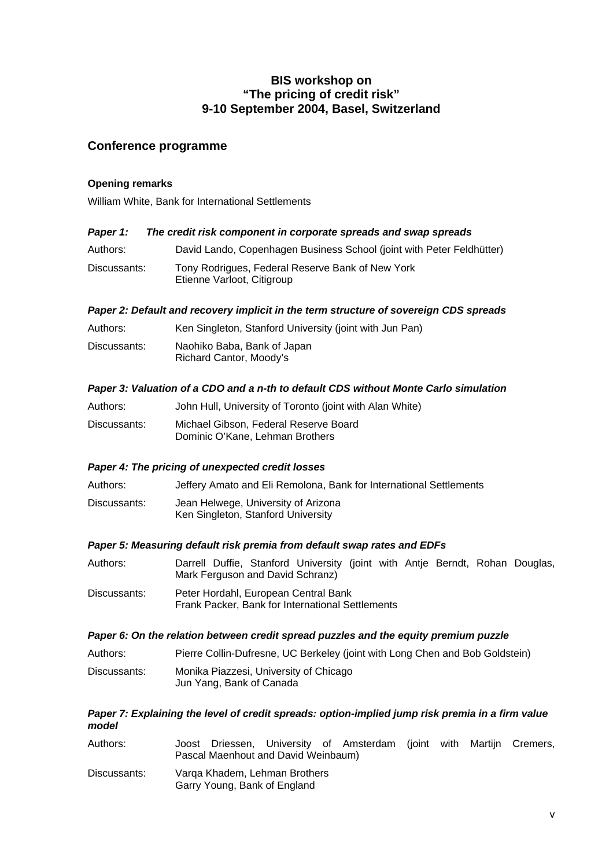#### **BIS workshop on "The pricing of credit risk" 9-10 September 2004, Basel, Switzerland**

#### **Conference programme**

#### **Opening remarks**

William White, Bank for International Settlements

#### *Paper 1: The credit risk component in corporate spreads and swap spreads*

- Authors: David Lando, Copenhagen Business School (joint with Peter Feldhütter)
- Discussants: Tony Rodrigues, Federal Reserve Bank of New York Etienne Varloot, Citigroup

#### *Paper 2: Default and recovery implicit in the term structure of sovereign CDS spreads*

| Authors:     | Ken Singleton, Stanford University (joint with Jun Pan) |
|--------------|---------------------------------------------------------|
| Discussants: | Naohiko Baba, Bank of Japan<br>Richard Cantor, Moody's  |

#### *Paper 3: Valuation of a CDO and a n-th to default CDS without Monte Carlo simulation*

| Authors:     | John Hull, University of Toronto (joint with Alan White)                 |
|--------------|--------------------------------------------------------------------------|
| Discussants: | Michael Gibson, Federal Reserve Board<br>Dominic O'Kane, Lehman Brothers |

#### *Paper 4: The pricing of unexpected credit losses*

Authors: Jeffery Amato and Eli Remolona, Bank for International Settlements

Discussants: Jean Helwege, University of Arizona Ken Singleton, Stanford University

#### *Paper 5: Measuring default risk premia from default swap rates and EDFs*

Authors: Darrell Duffie, Stanford University (joint with Antje Berndt, Rohan Douglas, Mark Ferguson and David Schranz)

Discussants: Peter Hordahl, European Central Bank Frank Packer, Bank for International Settlements

#### *Paper 6: On the relation between credit spread puzzles and the equity premium puzzle*

Authors: Pierre Collin-Dufresne, UC Berkeley (joint with Long Chen and Bob Goldstein) Discussants: Monika Piazzesi, University of Chicago Jun Yang, Bank of Canada

#### *Paper 7: Explaining the level of credit spreads: option-implied jump risk premia in a firm value model*

| Authors:     | Joost<br>Pascal Maenhout and David Weinbaum)                  |  | Driessen, University of Amsterdam (joint with Martijn Cremers, |  |  |
|--------------|---------------------------------------------------------------|--|----------------------------------------------------------------|--|--|
| Discussants: | Varga Khadem, Lehman Brothers<br>Garry Young, Bank of England |  |                                                                |  |  |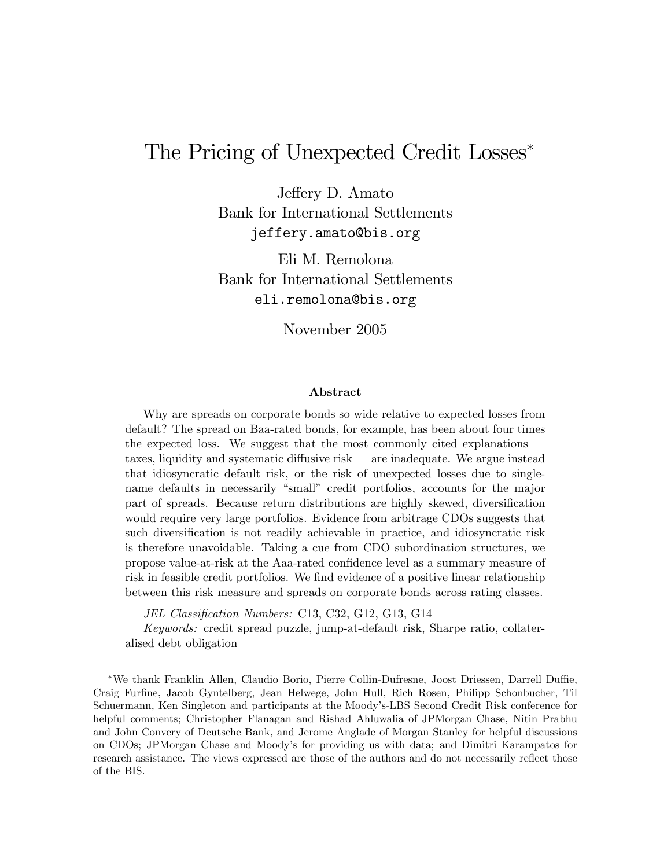# The Pricing of Unexpected Credit Losses

Jeffery D. Amato Bank for International Settlements jeffery.amato@bis.org

Eli M. Remolona Bank for International Settlements eli.remolona@bis.org

November 2005

#### Abstract

Why are spreads on corporate bonds so wide relative to expected losses from default? The spread on Baa-rated bonds, for example, has been about four times the expected loss. We suggest that the most commonly cited explanations  $$ taxes, liquidity and systematic diffusive risk  $\sim$  are inadequate. We argue instead that idiosyncratic default risk, or the risk of unexpected losses due to singlename defaults in necessarily "small" credit portfolios, accounts for the major part of spreads. Because return distributions are highly skewed, diversification would require very large portfolios. Evidence from arbitrage CDOs suggests that such diversification is not readily achievable in practice, and idiosyncratic risk is therefore unavoidable. Taking a cue from CDO subordination structures, we propose value-at-risk at the Aaa-rated conÖdence level as a summary measure of risk in feasible credit portfolios. We find evidence of a positive linear relationship between this risk measure and spreads on corporate bonds across rating classes.

JEL Classification Numbers: C13, C32, G12, G13, G14

Keywords: credit spread puzzle, jump-at-default risk, Sharpe ratio, collateralised debt obligation

<sup>\*</sup>We thank Franklin Allen, Claudio Borio, Pierre Collin-Dufresne, Joost Driessen, Darrell Duffie, Craig FurÖne, Jacob Gyntelberg, Jean Helwege, John Hull, Rich Rosen, Philipp Schonbucher, Til Schuermann, Ken Singleton and participants at the Moody's-LBS Second Credit Risk conference for helpful comments; Christopher Flanagan and Rishad Ahluwalia of JPMorgan Chase, Nitin Prabhu and John Convery of Deutsche Bank, and Jerome Anglade of Morgan Stanley for helpful discussions on CDOs; JPMorgan Chase and Moodyís for providing us with data; and Dimitri Karampatos for research assistance. The views expressed are those of the authors and do not necessarily reflect those of the BIS.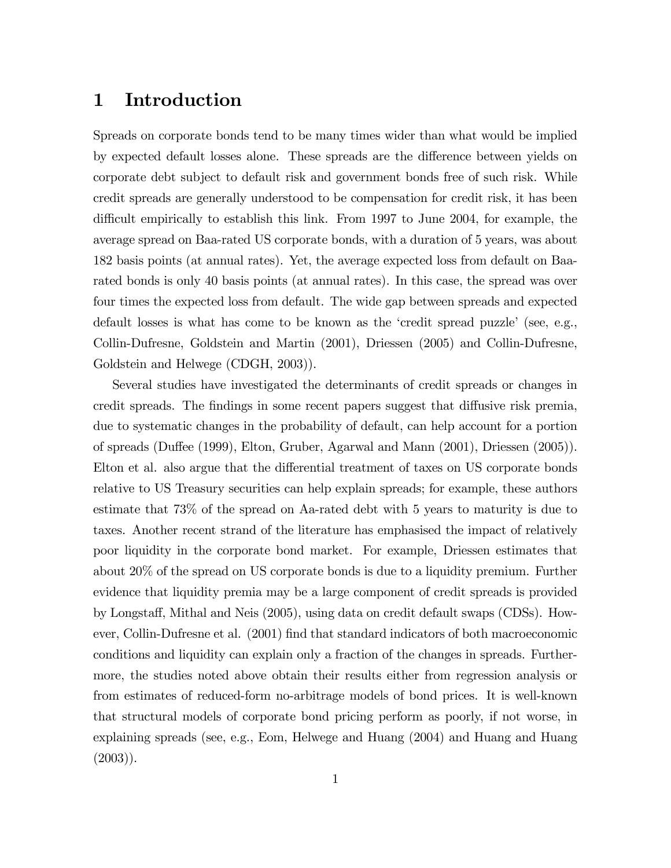### 1 Introduction

Spreads on corporate bonds tend to be many times wider than what would be implied by expected default losses alone. These spreads are the difference between yields on corporate debt subject to default risk and government bonds free of such risk. While credit spreads are generally understood to be compensation for credit risk, it has been difficult empirically to establish this link. From 1997 to June 2004, for example, the average spread on Baa-rated US corporate bonds, with a duration of 5 years, was about 182 basis points (at annual rates). Yet, the average expected loss from default on Baarated bonds is only 40 basis points (at annual rates). In this case, the spread was over four times the expected loss from default. The wide gap between spreads and expected default losses is what has come to be known as the 'credit spread puzzle' (see, e.g., Collin-Dufresne, Goldstein and Martin (2001), Driessen (2005) and Collin-Dufresne, Goldstein and Helwege (CDGH, 2003)).

Several studies have investigated the determinants of credit spreads or changes in credit spreads. The findings in some recent papers suggest that diffusive risk premia, due to systematic changes in the probability of default, can help account for a portion of spreads (Duffee (1999), Elton, Gruber, Agarwal and Mann (2001), Driessen (2005)). Elton et al. also argue that the differential treatment of taxes on US corporate bonds relative to US Treasury securities can help explain spreads; for example, these authors estimate that 73% of the spread on Aa-rated debt with 5 years to maturity is due to taxes. Another recent strand of the literature has emphasised the impact of relatively poor liquidity in the corporate bond market. For example, Driessen estimates that about 20% of the spread on US corporate bonds is due to a liquidity premium. Further evidence that liquidity premia may be a large component of credit spreads is provided by Longsta§, Mithal and Neis (2005), using data on credit default swaps (CDSs). However, Collin-Dufresne et al. (2001) Önd that standard indicators of both macroeconomic conditions and liquidity can explain only a fraction of the changes in spreads. Furthermore, the studies noted above obtain their results either from regression analysis or from estimates of reduced-form no-arbitrage models of bond prices. It is well-known that structural models of corporate bond pricing perform as poorly, if not worse, in explaining spreads (see, e.g., Eom, Helwege and Huang (2004) and Huang and Huang  $(2003)$ ).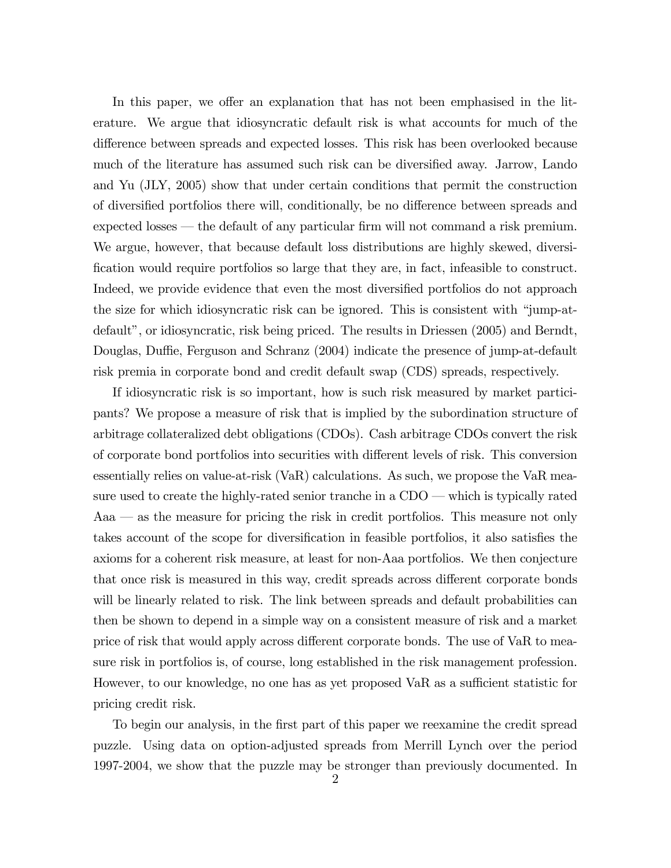In this paper, we offer an explanation that has not been emphasised in the literature. We argue that idiosyncratic default risk is what accounts for much of the difference between spreads and expected losses. This risk has been overlooked because much of the literature has assumed such risk can be diversified away. Jarrow, Lando and Yu (JLY, 2005) show that under certain conditions that permit the construction of diversified portfolios there will, conditionally, be no difference between spreads and expected losses — the default of any particular firm will not command a risk premium. We argue, however, that because default loss distributions are highly skewed, diversi-Öcation would require portfolios so large that they are, in fact, infeasible to construct. Indeed, we provide evidence that even the most diversified portfolios do not approach the size for which idiosyncratic risk can be ignored. This is consistent with "jump-atdefault", or idiosyncratic, risk being priced. The results in Driessen (2005) and Berndt, Douglas, Duffie, Ferguson and Schranz (2004) indicate the presence of jump-at-default risk premia in corporate bond and credit default swap (CDS) spreads, respectively.

If idiosyncratic risk is so important, how is such risk measured by market participants? We propose a measure of risk that is implied by the subordination structure of arbitrage collateralized debt obligations (CDOs). Cash arbitrage CDOs convert the risk of corporate bond portfolios into securities with different levels of risk. This conversion essentially relies on value-at-risk (VaR) calculations. As such, we propose the VaR measure used to create the highly-rated senior tranche in a  $CDO$  — which is typically rated  $Aaa$   $\sim$  as the measure for pricing the risk in credit portfolios. This measure not only takes account of the scope for diversification in feasible portfolios, it also satisfies the axioms for a coherent risk measure, at least for non-Aaa portfolios. We then conjecture that once risk is measured in this way, credit spreads across different corporate bonds will be linearly related to risk. The link between spreads and default probabilities can then be shown to depend in a simple way on a consistent measure of risk and a market price of risk that would apply across different corporate bonds. The use of VaR to measure risk in portfolios is, of course, long established in the risk management profession. However, to our knowledge, no one has as yet proposed VaR as a sufficient statistic for pricing credit risk.

To begin our analysis, in the first part of this paper we reexamine the credit spread puzzle. Using data on option-adjusted spreads from Merrill Lynch over the period 1997-2004, we show that the puzzle may be stronger than previously documented. In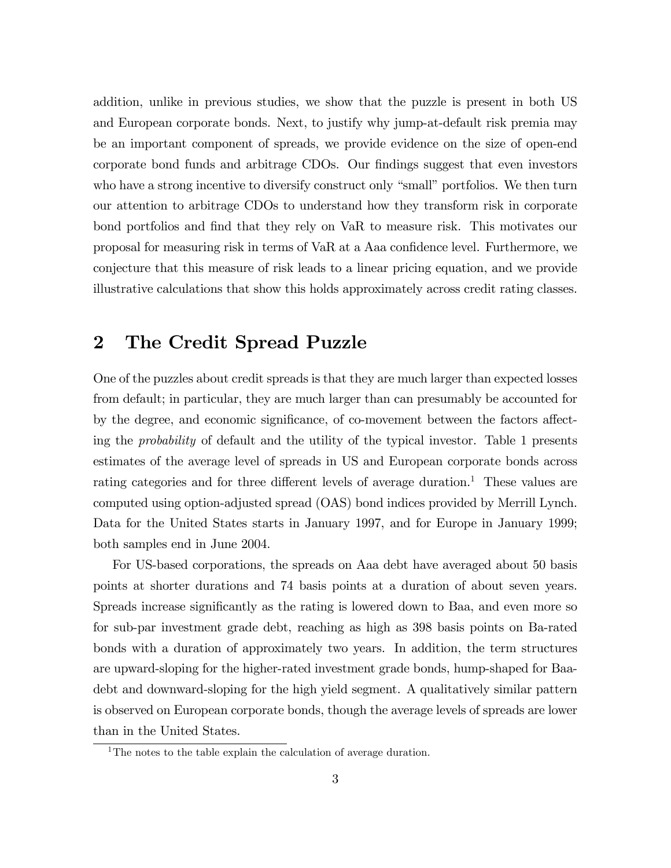addition, unlike in previous studies, we show that the puzzle is present in both US and European corporate bonds. Next, to justify why jump-at-default risk premia may be an important component of spreads, we provide evidence on the size of open-end corporate bond funds and arbitrage CDOs. Our findings suggest that even investors who have a strong incentive to diversify construct only "small" portfolios. We then turn our attention to arbitrage CDOs to understand how they transform risk in corporate bond portfolios and find that they rely on VaR to measure risk. This motivates our proposal for measuring risk in terms of VaR at a Aaa confidence level. Furthermore, we conjecture that this measure of risk leads to a linear pricing equation, and we provide illustrative calculations that show this holds approximately across credit rating classes.

### 2 The Credit Spread Puzzle

One of the puzzles about credit spreads is that they are much larger than expected losses from default; in particular, they are much larger than can presumably be accounted for by the degree, and economic significance, of co-movement between the factors affecting the probability of default and the utility of the typical investor. Table 1 presents estimates of the average level of spreads in US and European corporate bonds across rating categories and for three different levels of average duration.<sup>1</sup> These values are computed using option-adjusted spread (OAS) bond indices provided by Merrill Lynch. Data for the United States starts in January 1997, and for Europe in January 1999; both samples end in June 2004.

For US-based corporations, the spreads on Aaa debt have averaged about 50 basis points at shorter durations and 74 basis points at a duration of about seven years. Spreads increase significantly as the rating is lowered down to Baa, and even more so for sub-par investment grade debt, reaching as high as 398 basis points on Ba-rated bonds with a duration of approximately two years. In addition, the term structures are upward-sloping for the higher-rated investment grade bonds, hump-shaped for Baadebt and downward-sloping for the high yield segment. A qualitatively similar pattern is observed on European corporate bonds, though the average levels of spreads are lower than in the United States.

<sup>&</sup>lt;sup>1</sup>The notes to the table explain the calculation of average duration.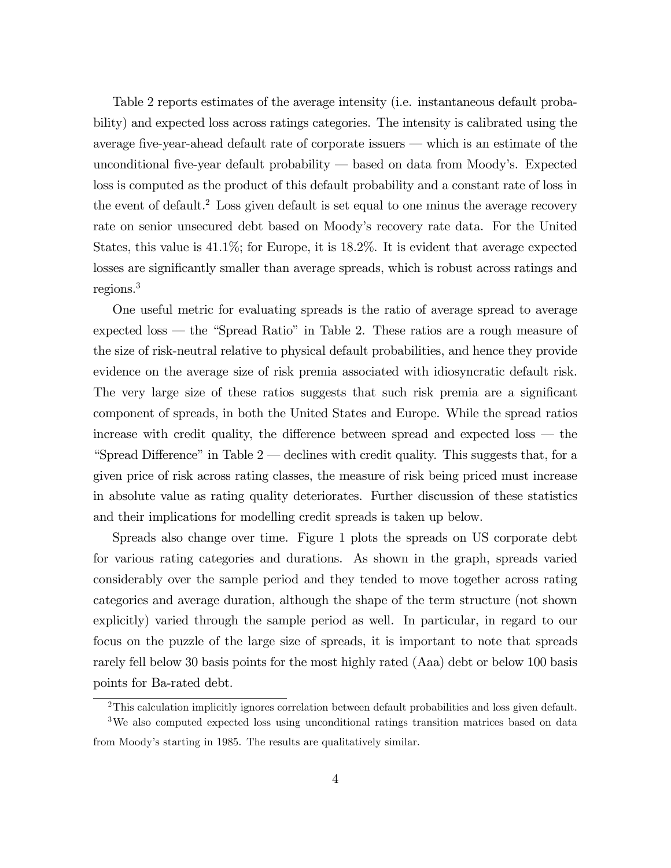Table 2 reports estimates of the average intensity (i.e. instantaneous default probability) and expected loss across ratings categories. The intensity is calibrated using the average five-year-ahead default rate of corporate issuers  $-$  which is an estimate of the unconditional five-year default probability  $-$  based on data from Moody's. Expected loss is computed as the product of this default probability and a constant rate of loss in the event of default.<sup>2</sup> Loss given default is set equal to one minus the average recovery rate on senior unsecured debt based on Moody's recovery rate data. For the United States, this value is 41.1%; for Europe, it is 18.2%. It is evident that average expected losses are significantly smaller than average spreads, which is robust across ratings and regions.<sup>3</sup>

One useful metric for evaluating spreads is the ratio of average spread to average expected loss  $-$  the "Spread Ratio" in Table 2. These ratios are a rough measure of the size of risk-neutral relative to physical default probabilities, and hence they provide evidence on the average size of risk premia associated with idiosyncratic default risk. The very large size of these ratios suggests that such risk premia are a significant component of spreads, in both the United States and Europe. While the spread ratios increase with credit quality, the difference between spread and expected loss  $-$  the "Spread Difference" in Table  $2$   $-$  declines with credit quality. This suggests that, for a given price of risk across rating classes, the measure of risk being priced must increase in absolute value as rating quality deteriorates. Further discussion of these statistics and their implications for modelling credit spreads is taken up below.

Spreads also change over time. Figure 1 plots the spreads on US corporate debt for various rating categories and durations. As shown in the graph, spreads varied considerably over the sample period and they tended to move together across rating categories and average duration, although the shape of the term structure (not shown explicitly) varied through the sample period as well. In particular, in regard to our focus on the puzzle of the large size of spreads, it is important to note that spreads rarely fell below 30 basis points for the most highly rated (Aaa) debt or below 100 basis points for Ba-rated debt.

<sup>&</sup>lt;sup>2</sup>This calculation implicitly ignores correlation between default probabilities and loss given default.

<sup>&</sup>lt;sup>3</sup>We also computed expected loss using unconditional ratings transition matrices based on data from Moodyís starting in 1985. The results are qualitatively similar.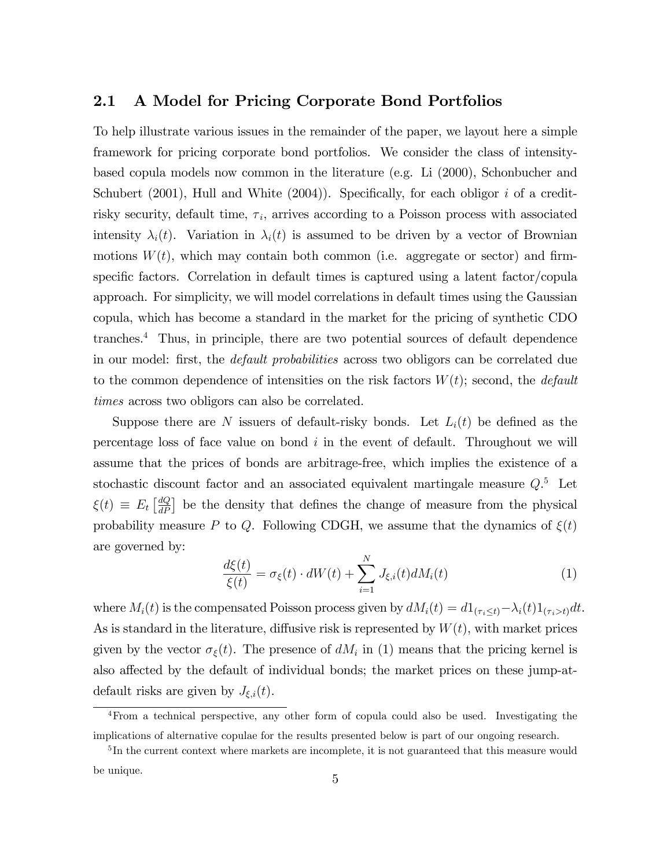#### 2.1 A Model for Pricing Corporate Bond Portfolios

To help illustrate various issues in the remainder of the paper, we layout here a simple framework for pricing corporate bond portfolios. We consider the class of intensitybased copula models now common in the literature (e.g. Li (2000), Schonbucher and Schubert (2001), Hull and White (2004)). Specifically, for each obligor i of a creditrisky security, default time,  $\tau_i$ , arrives according to a Poisson process with associated intensity  $\lambda_i(t)$ . Variation in  $\lambda_i(t)$  is assumed to be driven by a vector of Brownian motions  $W(t)$ , which may contain both common (i.e. aggregate or sector) and firmspecific factors. Correlation in default times is captured using a latent factor/copula approach. For simplicity, we will model correlations in default times using the Gaussian copula, which has become a standard in the market for the pricing of synthetic CDO tranches.<sup>4</sup> Thus, in principle, there are two potential sources of default dependence in our model: first, the *default probabilities* across two obligors can be correlated due to the common dependence of intensities on the risk factors  $W(t)$ ; second, the *default* times across two obligors can also be correlated.

Suppose there are N issuers of default-risky bonds. Let  $L_i(t)$  be defined as the percentage loss of face value on bond  $i$  in the event of default. Throughout we will assume that the prices of bonds are arbitrage-free, which implies the existence of a stochastic discount factor and an associated equivalent martingale measure  $Q$ <sup>5</sup>. Let  $\xi(t) \equiv E_t \left[ \frac{dQ}{dP} \right]$  be the density that defines the change of measure from the physical probability measure P to Q. Following CDGH, we assume that the dynamics of  $\xi(t)$ are governed by:

$$
\frac{d\xi(t)}{\xi(t)} = \sigma_{\xi}(t) \cdot dW(t) + \sum_{i=1}^{N} J_{\xi,i}(t) dM_i(t)
$$
\n(1)

where  $M_i(t)$  is the compensated Poisson process given by  $dM_i(t) = d\mathbb{1}_{(\tau_i \leq t)} - \lambda_i(t)\mathbb{1}_{(\tau_i \geq t)}dt$ . As is standard in the literature, diffusive risk is represented by  $W(t)$ , with market prices given by the vector  $\sigma_{\xi}(t)$ . The presence of  $dM_i$  in (1) means that the pricing kernel is also affected by the default of individual bonds; the market prices on these jump-atdefault risks are given by  $J_{\xi,i}(t)$ .

<sup>4</sup>From a technical perspective, any other form of copula could also be used. Investigating the implications of alternative copulae for the results presented below is part of our ongoing research.

<sup>&</sup>lt;sup>5</sup>In the current context where markets are incomplete, it is not guaranteed that this measure would be unique.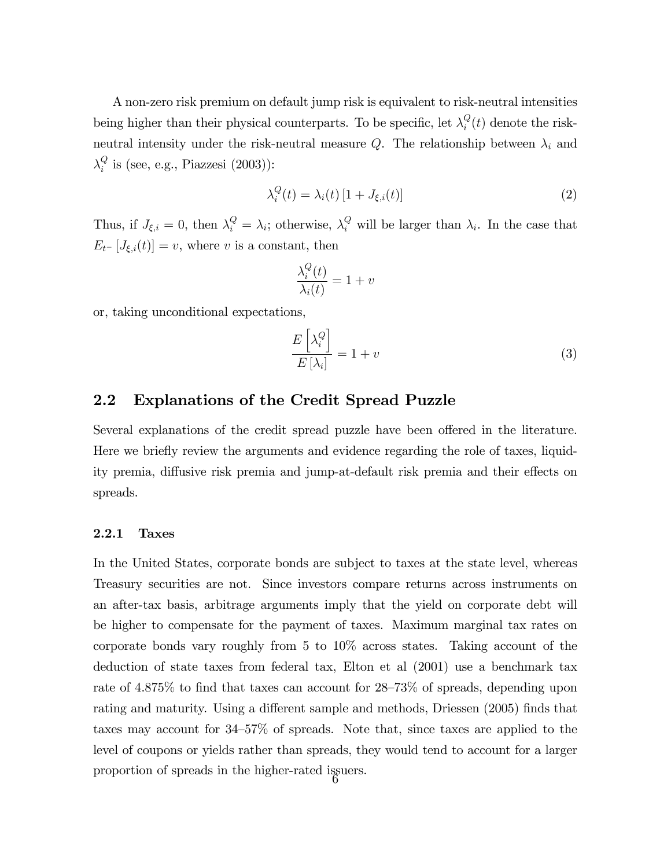A non-zero risk premium on default jump risk is equivalent to risk-neutral intensities being higher than their physical counterparts. To be specific, let  $\lambda_i^Q$  $\mathcal{Q}_i(t)$  denote the riskneutral intensity under the risk-neutral measure Q. The relationship between  $\lambda_i$  and  $\lambda_i^Q$  $i_i^Q$  is (see, e.g., Piazzesi (2003)):

$$
\lambda_i^Q(t) = \lambda_i(t) \left[ 1 + J_{\xi,i}(t) \right] \tag{2}
$$

Thus, if  $J_{\xi,i} = 0$ , then  $\lambda_i^Q = \lambda_i$ ; otherwise,  $\lambda_i^Q$  will be larger than  $\lambda_i$ . In the case that  $E_{t}$ - [ $J_{\xi,i}(t)$ ] = v, where v is a constant, then

$$
\frac{\lambda_i^Q(t)}{\lambda_i(t)} = 1 + v
$$

or, taking unconditional expectations,

$$
\frac{E\left[\lambda_i^Q\right]}{E\left[\lambda_i\right]} = 1 + v \tag{3}
$$

#### 2.2 Explanations of the Credit Spread Puzzle

Several explanations of the credit spread puzzle have been offered in the literature. Here we briefly review the arguments and evidence regarding the role of taxes, liquidity premia, diffusive risk premia and jump-at-default risk premia and their effects on spreads.

#### 2.2.1 Taxes

In the United States, corporate bonds are subject to taxes at the state level, whereas Treasury securities are not. Since investors compare returns across instruments on an after-tax basis, arbitrage arguments imply that the yield on corporate debt will be higher to compensate for the payment of taxes. Maximum marginal tax rates on corporate bonds vary roughly from 5 to 10% across states. Taking account of the deduction of state taxes from federal tax, Elton et al (2001) use a benchmark tax rate of  $4.875\%$  to find that taxes can account for  $28-73\%$  of spreads, depending upon rating and maturity. Using a different sample and methods, Driessen (2005) finds that taxes may account for  $34-57\%$  of spreads. Note that, since taxes are applied to the level of coupons or yields rather than spreads, they would tend to account for a larger proportion of spreads in the higher-rated issuers. <sup>6</sup>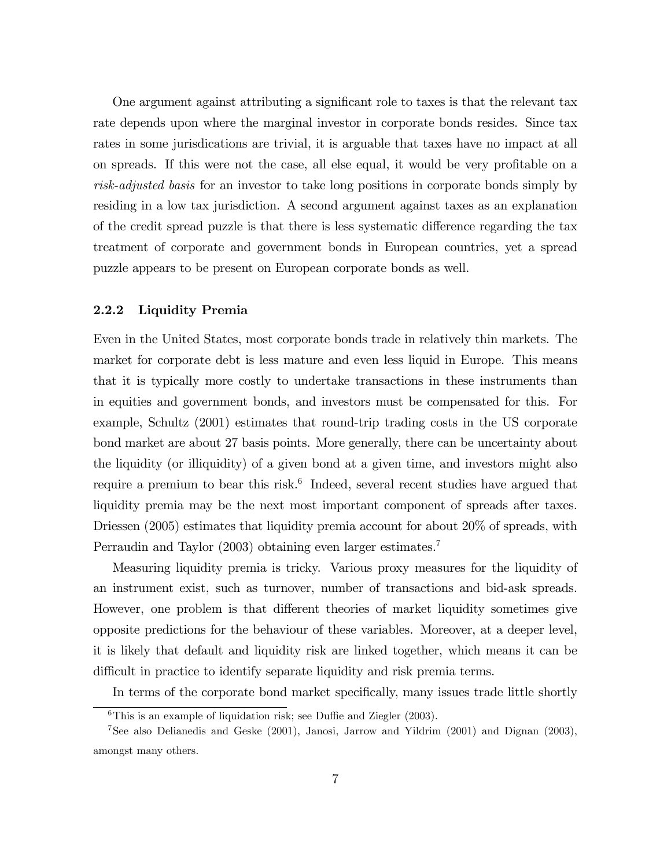One argument against attributing a significant role to taxes is that the relevant tax rate depends upon where the marginal investor in corporate bonds resides. Since tax rates in some jurisdications are trivial, it is arguable that taxes have no impact at all on spreads. If this were not the case, all else equal, it would be very profitable on a risk-adjusted basis for an investor to take long positions in corporate bonds simply by residing in a low tax jurisdiction. A second argument against taxes as an explanation of the credit spread puzzle is that there is less systematic difference regarding the tax treatment of corporate and government bonds in European countries, yet a spread puzzle appears to be present on European corporate bonds as well.

#### 2.2.2 Liquidity Premia

Even in the United States, most corporate bonds trade in relatively thin markets. The market for corporate debt is less mature and even less liquid in Europe. This means that it is typically more costly to undertake transactions in these instruments than in equities and government bonds, and investors must be compensated for this. For example, Schultz (2001) estimates that round-trip trading costs in the US corporate bond market are about 27 basis points. More generally, there can be uncertainty about the liquidity (or illiquidity) of a given bond at a given time, and investors might also require a premium to bear this risk.<sup>6</sup> Indeed, several recent studies have argued that liquidity premia may be the next most important component of spreads after taxes. Driessen (2005) estimates that liquidity premia account for about 20% of spreads, with Perraudin and Taylor (2003) obtaining even larger estimates.<sup>7</sup>

Measuring liquidity premia is tricky. Various proxy measures for the liquidity of an instrument exist, such as turnover, number of transactions and bid-ask spreads. However, one problem is that different theories of market liquidity sometimes give opposite predictions for the behaviour of these variables. Moreover, at a deeper level, it is likely that default and liquidity risk are linked together, which means it can be difficult in practice to identify separate liquidity and risk premia terms.

In terms of the corporate bond market specifically, many issues trade little shortly

 $6$ This is an example of liquidation risk; see Duffie and Ziegler (2003).

<sup>7</sup>See also Delianedis and Geske (2001), Janosi, Jarrow and Yildrim (2001) and Dignan (2003), amongst many others.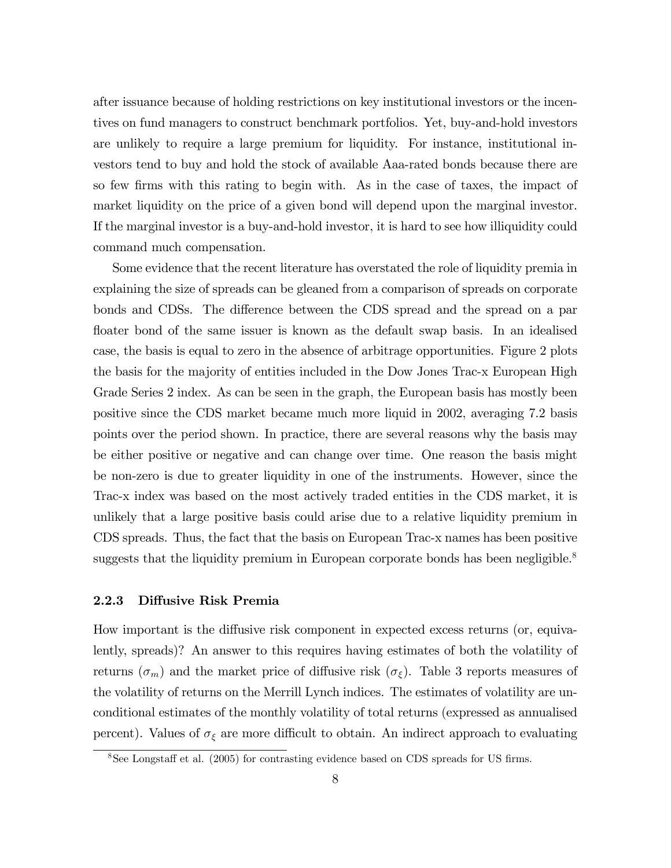after issuance because of holding restrictions on key institutional investors or the incentives on fund managers to construct benchmark portfolios. Yet, buy-and-hold investors are unlikely to require a large premium for liquidity. For instance, institutional investors tend to buy and hold the stock of available Aaa-rated bonds because there are so few firms with this rating to begin with. As in the case of taxes, the impact of market liquidity on the price of a given bond will depend upon the marginal investor. If the marginal investor is a buy-and-hold investor, it is hard to see how illiquidity could command much compensation.

Some evidence that the recent literature has overstated the role of liquidity premia in explaining the size of spreads can be gleaned from a comparison of spreads on corporate bonds and CDSs. The difference between the CDS spread and the spread on a par floater bond of the same issuer is known as the default swap basis. In an idealised case, the basis is equal to zero in the absence of arbitrage opportunities. Figure 2 plots the basis for the majority of entities included in the Dow Jones Trac-x European High Grade Series 2 index. As can be seen in the graph, the European basis has mostly been positive since the CDS market became much more liquid in 2002, averaging 7.2 basis points over the period shown. In practice, there are several reasons why the basis may be either positive or negative and can change over time. One reason the basis might be non-zero is due to greater liquidity in one of the instruments. However, since the Trac-x index was based on the most actively traded entities in the CDS market, it is unlikely that a large positive basis could arise due to a relative liquidity premium in CDS spreads. Thus, the fact that the basis on European Trac-x names has been positive suggests that the liquidity premium in European corporate bonds has been negligible.<sup>8</sup>

#### 2.2.3 Diffusive Risk Premia

How important is the diffusive risk component in expected excess returns (or, equivalently, spreads)? An answer to this requires having estimates of both the volatility of returns  $(\sigma_m)$  and the market price of diffusive risk  $(\sigma_{\xi})$ . Table 3 reports measures of the volatility of returns on the Merrill Lynch indices. The estimates of volatility are unconditional estimates of the monthly volatility of total returns (expressed as annualised percent). Values of  $\sigma_{\xi}$  are more difficult to obtain. An indirect approach to evaluating

 $8$ See Longstaff et al. (2005) for contrasting evidence based on CDS spreads for US firms.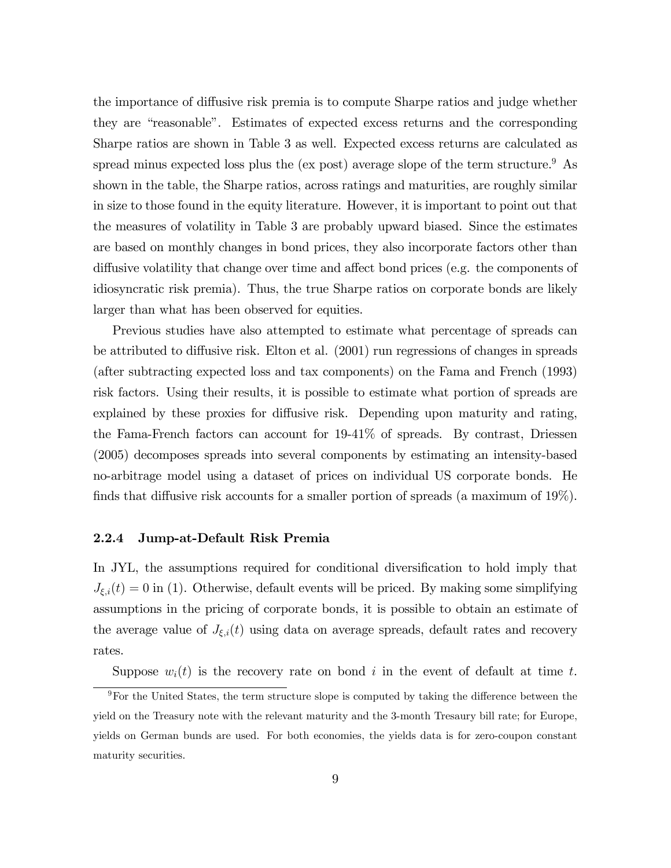the importance of diffusive risk premia is to compute Sharpe ratios and judge whether they are "reasonable". Estimates of expected excess returns and the corresponding Sharpe ratios are shown in Table 3 as well. Expected excess returns are calculated as spread minus expected loss plus the (ex post) average slope of the term structure.<sup>9</sup> As shown in the table, the Sharpe ratios, across ratings and maturities, are roughly similar in size to those found in the equity literature. However, it is important to point out that the measures of volatility in Table 3 are probably upward biased. Since the estimates are based on monthly changes in bond prices, they also incorporate factors other than diffusive volatility that change over time and affect bond prices (e.g. the components of idiosyncratic risk premia). Thus, the true Sharpe ratios on corporate bonds are likely larger than what has been observed for equities.

Previous studies have also attempted to estimate what percentage of spreads can be attributed to diffusive risk. Elton et al.  $(2001)$  run regressions of changes in spreads (after subtracting expected loss and tax components) on the Fama and French (1993) risk factors. Using their results, it is possible to estimate what portion of spreads are explained by these proxies for diffusive risk. Depending upon maturity and rating, the Fama-French factors can account for 19-41% of spreads. By contrast, Driessen (2005) decomposes spreads into several components by estimating an intensity-based no-arbitrage model using a dataset of prices on individual US corporate bonds. He finds that diffusive risk accounts for a smaller portion of spreads (a maximum of  $19\%$ ).

#### 2.2.4 Jump-at-Default Risk Premia

In JYL, the assumptions required for conditional diversification to hold imply that  $J_{\xi,i}(t) = 0$  in (1). Otherwise, default events will be priced. By making some simplifying assumptions in the pricing of corporate bonds, it is possible to obtain an estimate of the average value of  $J_{\xi,i}(t)$  using data on average spreads, default rates and recovery rates.

Suppose  $w_i(t)$  is the recovery rate on bond i in the event of default at time t.

 $9$ For the United States, the term structure slope is computed by taking the difference between the yield on the Treasury note with the relevant maturity and the 3-month Tresaury bill rate; for Europe, yields on German bunds are used. For both economies, the yields data is for zero-coupon constant maturity securities.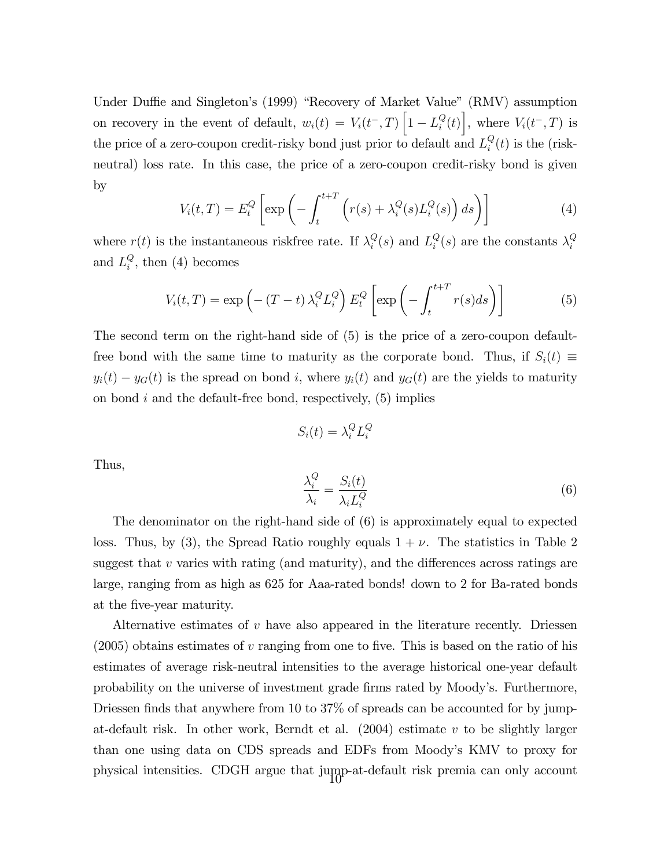Under Duffie and Singleton's (1999) "Recovery of Market Value" (RMV) assumption on recovery in the event of default,  $w_i(t) = V_i(t^-, T) \left[1 - L_i^Q\right]$  $\left\{ \begin{matrix} Q(t) \\ i \end{matrix} \right\}$ , where  $V_i(t^-,T)$  is the price of a zero-coupon credit-risky bond just prior to default and  $L_i^Q$  $\mathcal{Q}_i(t)$  is the (riskneutral) loss rate. In this case, the price of a zero-coupon credit-risky bond is given by

$$
V_i(t,T) = E_t^Q \left[ \exp \left( - \int_t^{t+T} \left( r(s) + \lambda_i^Q(s) L_i^Q(s) \right) ds \right) \right]
$$
 (4)

where  $r(t)$  is the instantaneous riskfree rate. If  $\lambda_i^Q$  $_i^Q(s)$  and  $L_i^Q$  $_i^Q(s)$  are the constants  $\lambda_i^Q$ i and  $L_i^Q$  $i_i^Q$ , then (4) becomes

$$
V_i(t,T) = \exp\left(-\left(T-t\right)\lambda_i^Q L_i^Q\right) E_t^Q \left[\exp\left(-\int_t^{t+T} r(s)ds\right)\right]
$$
(5)

The second term on the right-hand side of (5) is the price of a zero-coupon defaultfree bond with the same time to maturity as the corporate bond. Thus, if  $S_i(t) \equiv$  $y_i(t) - y_G(t)$  is the spread on bond i, where  $y_i(t)$  and  $y_G(t)$  are the yields to maturity on bond  $i$  and the default-free bond, respectively,  $(5)$  implies

$$
S_i(t) = \lambda_i^Q L_i^Q
$$

Thus,

$$
\frac{\lambda_i^Q}{\lambda_i} = \frac{S_i(t)}{\lambda_i L_i^Q} \tag{6}
$$

The denominator on the right-hand side of (6) is approximately equal to expected loss. Thus, by (3), the Spread Ratio roughly equals  $1 + \nu$ . The statistics in Table 2 suggest that  $v$  varies with rating (and maturity), and the differences across ratings are large, ranging from as high as 625 for Aaa-rated bonds! down to 2 for Ba-rated bonds at the Öve-year maturity.

Alternative estimates of v have also appeared in the literature recently. Driessen  $(2005)$  obtains estimates of v ranging from one to five. This is based on the ratio of his estimates of average risk-neutral intensities to the average historical one-year default probability on the universe of investment grade Örms rated by Moodyís. Furthermore, Driessen finds that anywhere from 10 to  $37\%$  of spreads can be accounted for by jumpat-default risk. In other work, Berndt et al.  $(2004)$  estimate v to be slightly larger than one using data on CDS spreads and EDFs from Moody's KMV to proxy for physical intensities. CDGH argue that jump-at-default risk premia can only account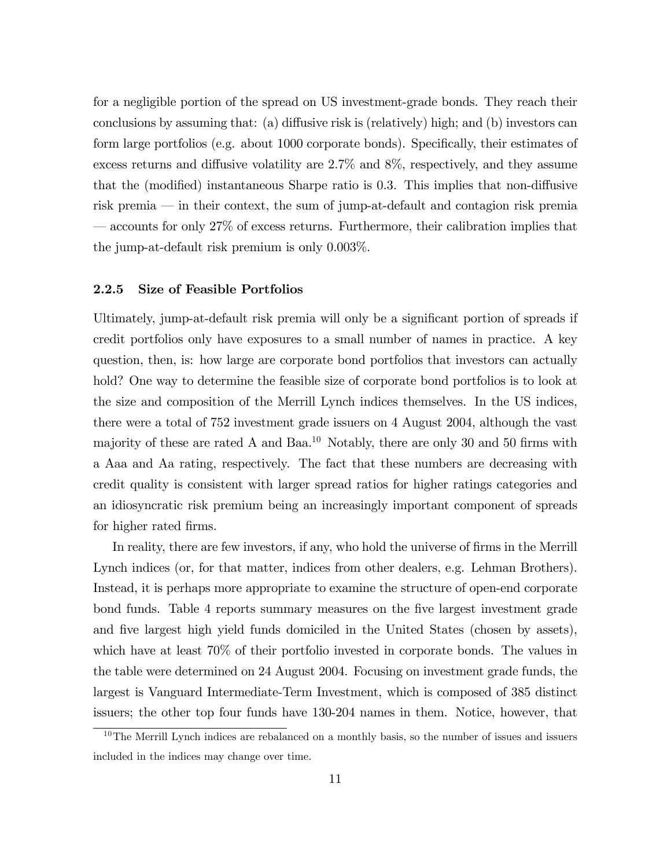for a negligible portion of the spread on US investment-grade bonds. They reach their conclusions by assuming that: (a) diffusive risk is (relatively) high; and (b) investors can form large portfolios (e.g. about 1000 corporate bonds). Specifically, their estimates of excess returns and diffusive volatility are  $2.7\%$  and  $8\%$ , respectively, and they assume that the (modified) instantaneous Sharpe ratio is  $0.3$ . This implies that non-diffusive risk premia  $\equiv$  in their context, the sum of jump-at-default and contagion risk premia  $\sim$  accounts for only 27% of excess returns. Furthermore, their calibration implies that the jump-at-default risk premium is only 0.003%.

#### 2.2.5 Size of Feasible Portfolios

Ultimately, jump-at-default risk premia will only be a significant portion of spreads if credit portfolios only have exposures to a small number of names in practice. A key question, then, is: how large are corporate bond portfolios that investors can actually hold? One way to determine the feasible size of corporate bond portfolios is to look at the size and composition of the Merrill Lynch indices themselves. In the US indices, there were a total of 752 investment grade issuers on 4 August 2004, although the vast majority of these are rated A and Baa.<sup>10</sup> Notably, there are only 30 and 50 firms with a Aaa and Aa rating, respectively. The fact that these numbers are decreasing with credit quality is consistent with larger spread ratios for higher ratings categories and an idiosyncratic risk premium being an increasingly important component of spreads for higher rated firms.

In reality, there are few investors, if any, who hold the universe of firms in the Merrill Lynch indices (or, for that matter, indices from other dealers, e.g. Lehman Brothers). Instead, it is perhaps more appropriate to examine the structure of open-end corporate bond funds. Table 4 reports summary measures on the Öve largest investment grade and five largest high yield funds domiciled in the United States (chosen by assets), which have at least 70% of their portfolio invested in corporate bonds. The values in the table were determined on 24 August 2004. Focusing on investment grade funds, the largest is Vanguard Intermediate-Term Investment, which is composed of 385 distinct issuers; the other top four funds have 130-204 names in them. Notice, however, that

 $10$ The Merrill Lynch indices are rebalanced on a monthly basis, so the number of issues and issuers included in the indices may change over time.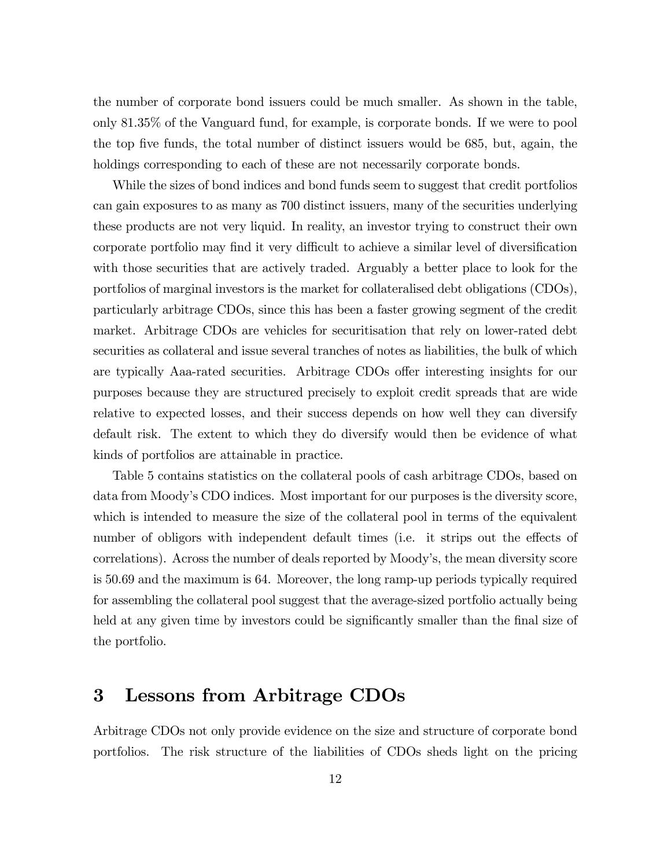the number of corporate bond issuers could be much smaller. As shown in the table, only 81.35% of the Vanguard fund, for example, is corporate bonds. If we were to pool the top five funds, the total number of distinct issuers would be 685, but, again, the holdings corresponding to each of these are not necessarily corporate bonds.

While the sizes of bond indices and bond funds seem to suggest that credit portfolios can gain exposures to as many as 700 distinct issuers, many of the securities underlying these products are not very liquid. In reality, an investor trying to construct their own corporate portfolio may find it very difficult to achieve a similar level of diversification with those securities that are actively traded. Arguably a better place to look for the portfolios of marginal investors is the market for collateralised debt obligations (CDOs), particularly arbitrage CDOs, since this has been a faster growing segment of the credit market. Arbitrage CDOs are vehicles for securitisation that rely on lower-rated debt securities as collateral and issue several tranches of notes as liabilities, the bulk of which are typically Aaa-rated securities. Arbitrage CDOs offer interesting insights for our purposes because they are structured precisely to exploit credit spreads that are wide relative to expected losses, and their success depends on how well they can diversify default risk. The extent to which they do diversify would then be evidence of what kinds of portfolios are attainable in practice.

Table 5 contains statistics on the collateral pools of cash arbitrage CDOs, based on data from Moody's CDO indices. Most important for our purposes is the diversity score, which is intended to measure the size of the collateral pool in terms of the equivalent number of obligors with independent default times (i.e. it strips out the effects of correlations). Across the number of deals reported by Moody's, the mean diversity score is 50.69 and the maximum is 64. Moreover, the long ramp-up periods typically required for assembling the collateral pool suggest that the average-sized portfolio actually being held at any given time by investors could be significantly smaller than the final size of the portfolio.

### 3 Lessons from Arbitrage CDOs

Arbitrage CDOs not only provide evidence on the size and structure of corporate bond portfolios. The risk structure of the liabilities of CDOs sheds light on the pricing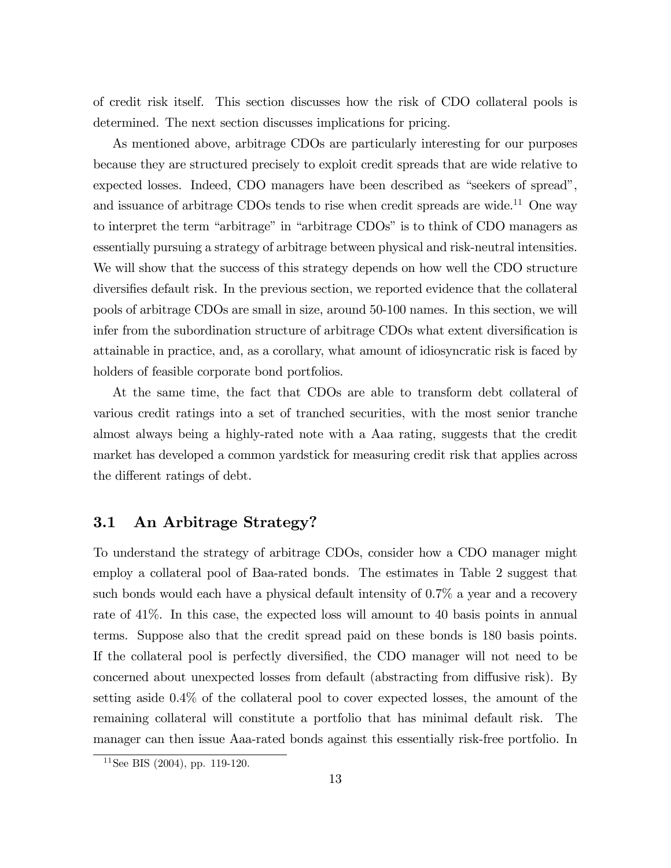of credit risk itself. This section discusses how the risk of CDO collateral pools is determined. The next section discusses implications for pricing.

As mentioned above, arbitrage CDOs are particularly interesting for our purposes because they are structured precisely to exploit credit spreads that are wide relative to expected losses. Indeed, CDO managers have been described as "seekers of spread", and issuance of arbitrage CDOs tends to rise when credit spreads are wide.<sup>11</sup> One way to interpret the term "arbitrage" in "arbitrage CDOs" is to think of CDO managers as essentially pursuing a strategy of arbitrage between physical and risk-neutral intensities. We will show that the success of this strategy depends on how well the CDO structure diversifies default risk. In the previous section, we reported evidence that the collateral pools of arbitrage CDOs are small in size, around 50-100 names. In this section, we will infer from the subordination structure of arbitrage CDOs what extent diversification is attainable in practice, and, as a corollary, what amount of idiosyncratic risk is faced by holders of feasible corporate bond portfolios.

At the same time, the fact that CDOs are able to transform debt collateral of various credit ratings into a set of tranched securities, with the most senior tranche almost always being a highly-rated note with a Aaa rating, suggests that the credit market has developed a common yardstick for measuring credit risk that applies across the different ratings of debt.

#### 3.1 An Arbitrage Strategy?

To understand the strategy of arbitrage CDOs, consider how a CDO manager might employ a collateral pool of Baa-rated bonds. The estimates in Table 2 suggest that such bonds would each have a physical default intensity of 0.7% a year and a recovery rate of 41%. In this case, the expected loss will amount to 40 basis points in annual terms. Suppose also that the credit spread paid on these bonds is 180 basis points. If the collateral pool is perfectly diversified, the CDO manager will not need to be concerned about unexpected losses from default (abstracting from diffusive risk). By setting aside 0.4% of the collateral pool to cover expected losses, the amount of the remaining collateral will constitute a portfolio that has minimal default risk. The manager can then issue Aaa-rated bonds against this essentially risk-free portfolio. In

 $11$ See BIS (2004), pp. 119-120.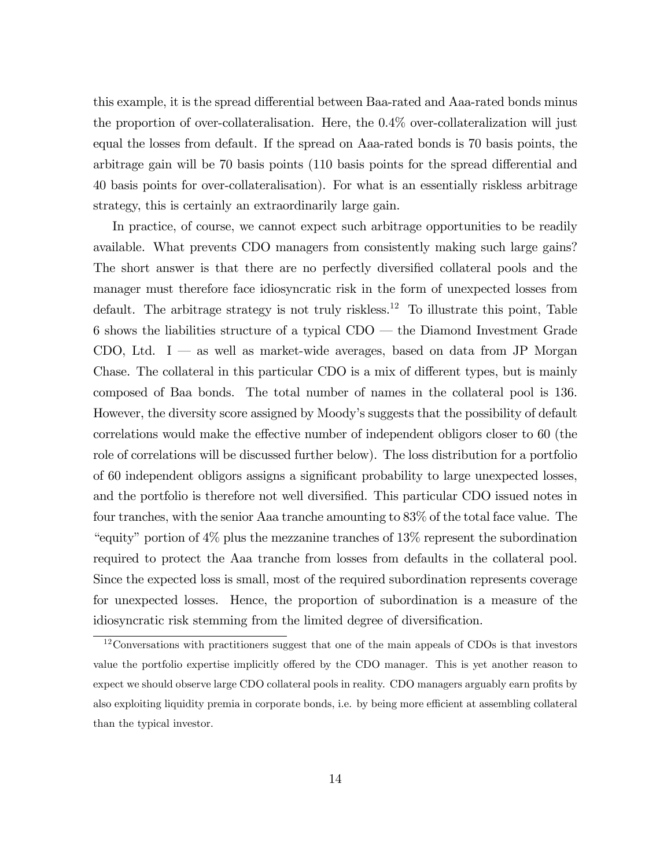this example, it is the spread differential between Baa-rated and Aaa-rated bonds minus the proportion of over-collateralisation. Here, the 0.4% over-collateralization will just equal the losses from default. If the spread on Aaa-rated bonds is 70 basis points, the arbitrage gain will be 70 basis points (110 basis points for the spread differential and 40 basis points for over-collateralisation). For what is an essentially riskless arbitrage strategy, this is certainly an extraordinarily large gain.

In practice, of course, we cannot expect such arbitrage opportunities to be readily available. What prevents CDO managers from consistently making such large gains? The short answer is that there are no perfectly diversified collateral pools and the manager must therefore face idiosyncratic risk in the form of unexpected losses from default. The arbitrage strategy is not truly riskless.<sup>12</sup> To illustrate this point, Table 6 shows the liabilities structure of a typical  $CDO$  – the Diamond Investment Grade CDO, Ltd. I  $\sim$  as well as market-wide averages, based on data from JP Morgan Chase. The collateral in this particular CDO is a mix of different types, but is mainly composed of Baa bonds. The total number of names in the collateral pool is 136. However, the diversity score assigned by Moody's suggests that the possibility of default correlations would make the effective number of independent obligors closer to 60 (the role of correlations will be discussed further below). The loss distribution for a portfolio of 60 independent obligors assigns a signiÖcant probability to large unexpected losses, and the portfolio is therefore not well diversified. This particular CDO issued notes in four tranches, with the senior Aaa tranche amounting to 83% of the total face value. The "equity" portion of  $4\%$  plus the mezzanine tranches of  $13\%$  represent the subordination required to protect the Aaa tranche from losses from defaults in the collateral pool. Since the expected loss is small, most of the required subordination represents coverage for unexpected losses. Hence, the proportion of subordination is a measure of the idiosyncratic risk stemming from the limited degree of diversification.

<sup>&</sup>lt;sup>12</sup>Conversations with practitioners suggest that one of the main appeals of CDOs is that investors value the portfolio expertise implicitly offered by the CDO manager. This is yet another reason to expect we should observe large CDO collateral pools in reality. CDO managers arguably earn profits by also exploiting liquidity premia in corporate bonds, i.e. by being more efficient at assembling collateral than the typical investor.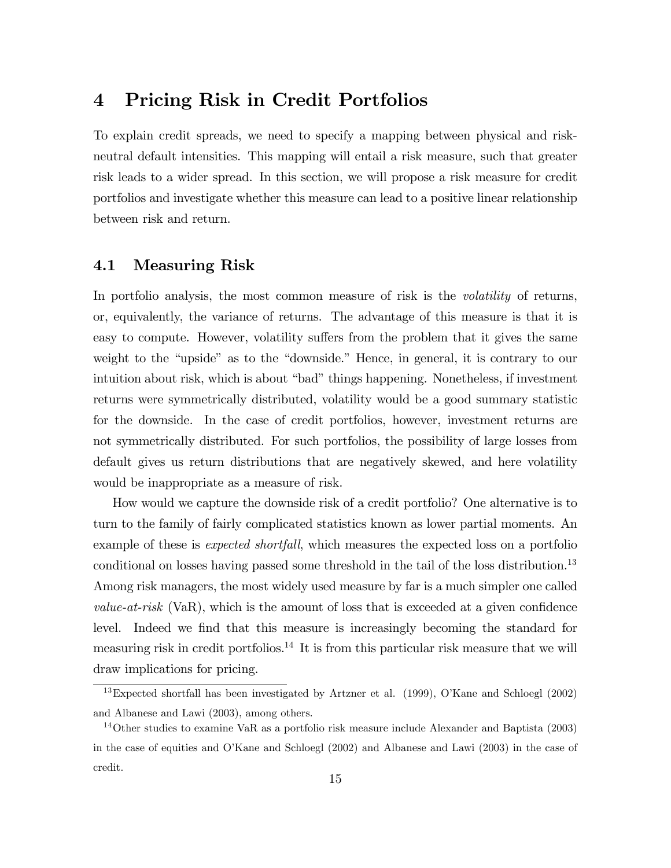## 4 Pricing Risk in Credit Portfolios

To explain credit spreads, we need to specify a mapping between physical and riskneutral default intensities. This mapping will entail a risk measure, such that greater risk leads to a wider spread. In this section, we will propose a risk measure for credit portfolios and investigate whether this measure can lead to a positive linear relationship between risk and return.

#### 4.1 Measuring Risk

In portfolio analysis, the most common measure of risk is the *volatility* of returns, or, equivalently, the variance of returns. The advantage of this measure is that it is easy to compute. However, volatility suffers from the problem that it gives the same weight to the "upside" as to the "downside." Hence, in general, it is contrary to our intuition about risk, which is about "bad" things happening. Nonetheless, if investment returns were symmetrically distributed, volatility would be a good summary statistic for the downside. In the case of credit portfolios, however, investment returns are not symmetrically distributed. For such portfolios, the possibility of large losses from default gives us return distributions that are negatively skewed, and here volatility would be inappropriate as a measure of risk.

How would we capture the downside risk of a credit portfolio? One alternative is to turn to the family of fairly complicated statistics known as lower partial moments. An example of these is *expected shortfall*, which measures the expected loss on a portfolio conditional on losses having passed some threshold in the tail of the loss distribution.<sup>13</sup> Among risk managers, the most widely used measure by far is a much simpler one called *value-at-risk* (VaR), which is the amount of loss that is exceeded at a given confidence level. Indeed we find that this measure is increasingly becoming the standard for measuring risk in credit portfolios.<sup>14</sup> It is from this particular risk measure that we will draw implications for pricing.

 $13$ Expected shortfall has been investigated by Artzner et al. (1999), O'Kane and Schloegl (2002) and Albanese and Lawi (2003), among others.

<sup>&</sup>lt;sup>14</sup>Other studies to examine VaR as a portfolio risk measure include Alexander and Baptista (2003) in the case of equities and OíKane and Schloegl (2002) and Albanese and Lawi (2003) in the case of credit.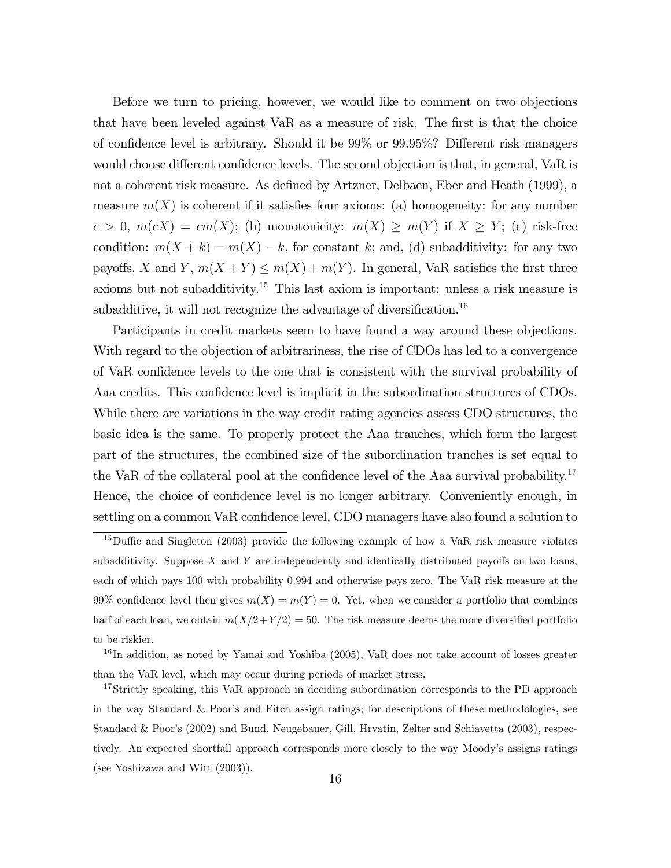Before we turn to pricing, however, we would like to comment on two objections that have been leveled against  $VaR$  as a measure of risk. The first is that the choice of confidence level is arbitrary. Should it be  $99\%$  or  $99.95\%$ ? Different risk managers would choose different confidence levels. The second objection is that, in general, VaR is not a coherent risk measure. As defined by Artzner, Delbaen, Eber and Heath (1999), a measure  $m(X)$  is coherent if it satisfies four axioms: (a) homogeneity: for any number  $c > 0$ ,  $m(cX) = cm(X)$ ; (b) monotonicity:  $m(X) \ge m(Y)$  if  $X \ge Y$ ; (c) risk-free condition:  $m(X + k) = m(X) - k$ , for constant k; and, (d) subadditivity: for any two payoffs, X and Y,  $m(X + Y) \le m(X) + m(Y)$ . In general, VaR satisfies the first three axioms but not subadditivity.<sup>15</sup> This last axiom is important: unless a risk measure is subadditive, it will not recognize the advantage of diversification.<sup>16</sup>

Participants in credit markets seem to have found a way around these objections. With regard to the objection of arbitrariness, the rise of CDOs has led to a convergence of VaR confidence levels to the one that is consistent with the survival probability of Aaa credits. This confidence level is implicit in the subordination structures of CDOs. While there are variations in the way credit rating agencies assess CDO structures, the basic idea is the same. To properly protect the Aaa tranches, which form the largest part of the structures, the combined size of the subordination tranches is set equal to the VaR of the collateral pool at the confidence level of the Aaa survival probability.<sup>17</sup> Hence, the choice of confidence level is no longer arbitrary. Conveniently enough, in settling on a common VaR confidence level, CDO managers have also found a solution to

 $15$ Duffie and Singleton (2003) provide the following example of how a VaR risk measure violates subadditivity. Suppose  $X$  and  $Y$  are independently and identically distributed payoffs on two loans, each of which pays 100 with probability 0.994 and otherwise pays zero. The VaR risk measure at the 99% confidence level then gives  $m(X) = m(Y) = 0$ . Yet, when we consider a portfolio that combines half of each loan, we obtain  $m(X/2+Y/2) = 50$ . The risk measure deems the more diversified portfolio to be riskier.

<sup>&</sup>lt;sup>16</sup>In addition, as noted by Yamai and Yoshiba (2005), VaR does not take account of losses greater than the VaR level, which may occur during periods of market stress.

<sup>&</sup>lt;sup>17</sup>Strictly speaking, this VaR approach in deciding subordination corresponds to the PD approach in the way Standard & Poor's and Fitch assign ratings; for descriptions of these methodologies, see Standard & Poor's (2002) and Bund, Neugebauer, Gill, Hrvatin, Zelter and Schiavetta (2003), respectively. An expected shortfall approach corresponds more closely to the way Moody's assigns ratings (see Yoshizawa and Witt (2003)).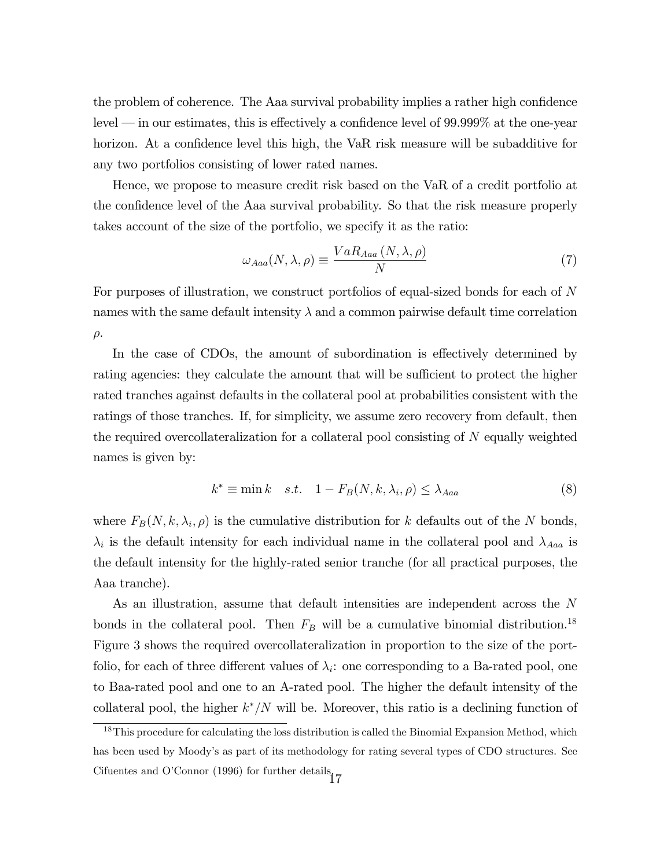the problem of coherence. The Aaa survival probability implies a rather high confidence level  $\sim$  in our estimates, this is effectively a confidence level of 99.999% at the one-year horizon. At a confidence level this high, the VaR risk measure will be subadditive for any two portfolios consisting of lower rated names.

Hence, we propose to measure credit risk based on the VaR of a credit portfolio at the confidence level of the Aaa survival probability. So that the risk measure properly takes account of the size of the portfolio, we specify it as the ratio:

$$
\omega_{Aaa}(N,\lambda,\rho) \equiv \frac{VaR_{Aaa}(N,\lambda,\rho)}{N} \tag{7}
$$

For purposes of illustration, we construct portfolios of equal-sized bonds for each of N names with the same default intensity  $\lambda$  and a common pairwise default time correlation  $\rho$ .

In the case of CDOs, the amount of subordination is effectively determined by rating agencies: they calculate the amount that will be sufficient to protect the higher rated tranches against defaults in the collateral pool at probabilities consistent with the ratings of those tranches. If, for simplicity, we assume zero recovery from default, then the required overcollateralization for a collateral pool consisting of N equally weighted names is given by:

$$
k^* \equiv \min k \quad s.t. \quad 1 - F_B(N, k, \lambda_i, \rho) \le \lambda_{Aaa} \tag{8}
$$

where  $F_B(N, k, \lambda_i, \rho)$  is the cumulative distribution for k defaults out of the N bonds,  $\lambda_i$  is the default intensity for each individual name in the collateral pool and  $\lambda_{Aaa}$  is the default intensity for the highly-rated senior tranche (for all practical purposes, the Aaa tranche).

As an illustration, assume that default intensities are independent across the N bonds in the collateral pool. Then  $F_B$  will be a cumulative binomial distribution.<sup>18</sup> Figure 3 shows the required overcollateralization in proportion to the size of the portfolio, for each of three different values of  $\lambda_i$ : one corresponding to a Ba-rated pool, one to Baa-rated pool and one to an A-rated pool. The higher the default intensity of the collateral pool, the higher  $k^*/N$  will be. Moreover, this ratio is a declining function of

 $18$ This procedure for calculating the loss distribution is called the Binomial Expansion Method, which has been used by Moody's as part of its methodology for rating several types of CDO structures. See Cifuentes and O'Connor (1996) for further details $17$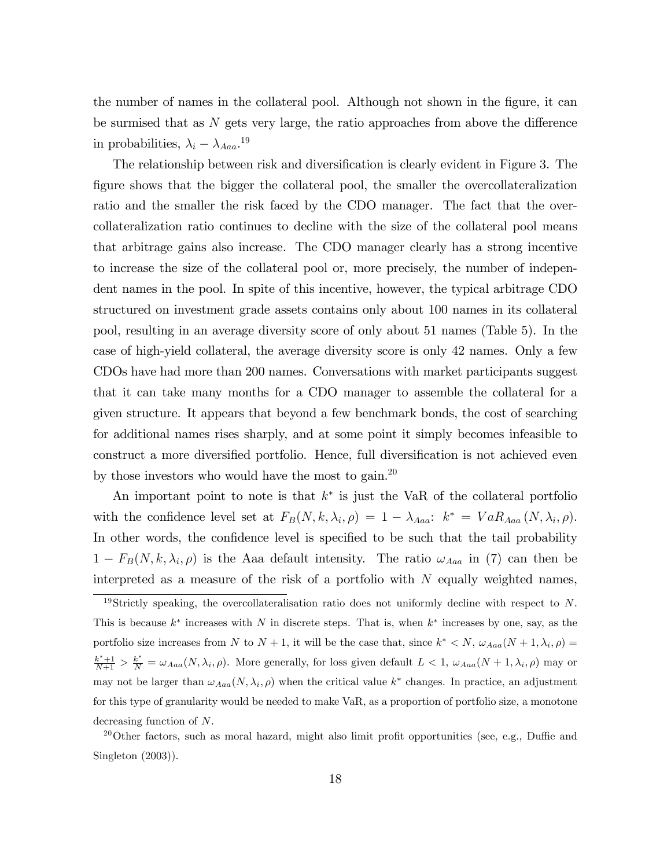the number of names in the collateral pool. Although not shown in the figure, it can be surmised that as  $N$  gets very large, the ratio approaches from above the difference in probabilities,  $\lambda_i - \lambda_{Aaa}$ .<sup>19</sup>

The relationship between risk and diversification is clearly evident in Figure 3. The figure shows that the bigger the collateral pool, the smaller the overcollateralization ratio and the smaller the risk faced by the CDO manager. The fact that the overcollateralization ratio continues to decline with the size of the collateral pool means that arbitrage gains also increase. The CDO manager clearly has a strong incentive to increase the size of the collateral pool or, more precisely, the number of independent names in the pool. In spite of this incentive, however, the typical arbitrage CDO structured on investment grade assets contains only about 100 names in its collateral pool, resulting in an average diversity score of only about 51 names (Table 5). In the case of high-yield collateral, the average diversity score is only 42 names. Only a few CDOs have had more than 200 names. Conversations with market participants suggest that it can take many months for a CDO manager to assemble the collateral for a given structure. It appears that beyond a few benchmark bonds, the cost of searching for additional names rises sharply, and at some point it simply becomes infeasible to construct a more diversified portfolio. Hence, full diversification is not achieved even by those investors who would have the most to gain.<sup>20</sup>

An important point to note is that  $k^*$  is just the VaR of the collateral portfolio with the confidence level set at  $F_B(N, k, \lambda_i, \rho) = 1 - \lambda_{Aaa}: k^* = VaR_{Aaa}(N, \lambda_i, \rho).$ In other words, the confidence level is specified to be such that the tail probability  $1 - F_B(N, k, \lambda_i, \rho)$  is the Aaa default intensity. The ratio  $\omega_{Aaa}$  in (7) can then be interpreted as a measure of the risk of a portfolio with  $N$  equally weighted names,

 $^{20}$ Other factors, such as moral hazard, might also limit profit opportunities (see, e.g., Duffie and Singleton (2003)).

<sup>&</sup>lt;sup>19</sup>Strictly speaking, the overcollateralisation ratio does not uniformly decline with respect to N. This is because  $k^*$  increases with N in discrete steps. That is, when  $k^*$  increases by one, say, as the portfolio size increases from N to  $N + 1$ , it will be the case that, since  $k^* < N$ ,  $\omega_{Aaa}(N + 1, \lambda_i, \rho) =$  $\frac{k^*+1}{N+1} > \frac{k^*}{N} = \omega_{Aaa}(N, \lambda_i, \rho)$ . More generally, for loss given default  $L < 1$ ,  $\omega_{Aaa}(N+1, \lambda_i, \rho)$  may or may not be larger than  $\omega_{Aaa}(N, \lambda_i, \rho)$  when the critical value  $k^*$  changes. In practice, an adjustment for this type of granularity would be needed to make VaR, as a proportion of portfolio size, a monotone decreasing function of N.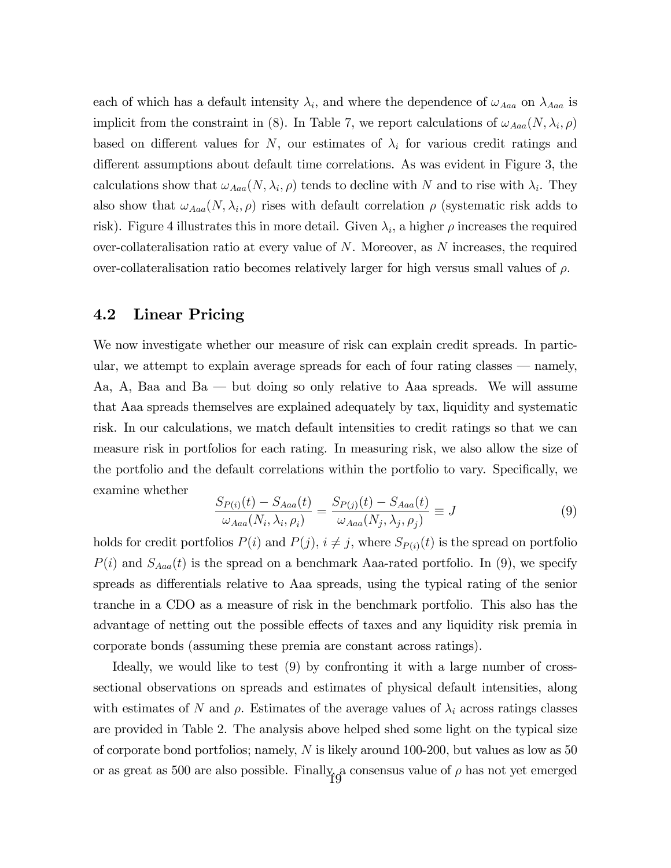each of which has a default intensity  $\lambda_i$ , and where the dependence of  $\omega_{Aaa}$  on  $\lambda_{Aaa}$  is implicit from the constraint in (8). In Table 7, we report calculations of  $\omega_{Aaa}(N, \lambda_i, \rho)$ based on different values for N, our estimates of  $\lambda_i$  for various credit ratings and different assumptions about default time correlations. As was evident in Figure 3, the calculations show that  $\omega_{Aaa}(N, \lambda_i, \rho)$  tends to decline with N and to rise with  $\lambda_i$ . They also show that  $\omega_{Aaa}(N, \lambda_i, \rho)$  rises with default correlation  $\rho$  (systematic risk adds to risk). Figure 4 illustrates this in more detail. Given  $\lambda_i$ , a higher  $\rho$  increases the required over-collateralisation ratio at every value of  $N$ . Moreover, as  $N$  increases, the required over-collateralisation ratio becomes relatively larger for high versus small values of  $\rho$ .

#### 4.2 Linear Pricing

We now investigate whether our measure of risk can explain credit spreads. In particular, we attempt to explain average spreads for each of four rating classes  $-$  namely, Aa, A, Baa and Ba  $\rightarrow$  but doing so only relative to Aaa spreads. We will assume that Aaa spreads themselves are explained adequately by tax, liquidity and systematic risk. In our calculations, we match default intensities to credit ratings so that we can measure risk in portfolios for each rating. In measuring risk, we also allow the size of the portfolio and the default correlations within the portfolio to vary. Specifically, we examine whether

$$
\frac{S_{P(i)}(t) - S_{Aaa}(t)}{\omega_{Aaa}(N_i, \lambda_i, \rho_i)} = \frac{S_{P(j)}(t) - S_{Aaa}(t)}{\omega_{Aaa}(N_j, \lambda_j, \rho_j)} \equiv J
$$
\n(9)

holds for credit portfolios  $P(i)$  and  $P(j)$ ,  $i \neq j$ , where  $S_{P(i)}(t)$  is the spread on portfolio  $P(i)$  and  $S_{Aaa}(t)$  is the spread on a benchmark Aaa-rated portfolio. In (9), we specify spreads as differentials relative to Aaa spreads, using the typical rating of the senior tranche in a CDO as a measure of risk in the benchmark portfolio. This also has the advantage of netting out the possible effects of taxes and any liquidity risk premia in corporate bonds (assuming these premia are constant across ratings).

Ideally, we would like to test (9) by confronting it with a large number of crosssectional observations on spreads and estimates of physical default intensities, along with estimates of N and  $\rho$ . Estimates of the average values of  $\lambda_i$  across ratings classes are provided in Table 2. The analysis above helped shed some light on the typical size of corporate bond portfolios; namely, N is likely around 100-200, but values as low as 50 or as great as 500 are also possible. Finally<sub>10</sub> consensus value of  $\rho$  has not yet emerged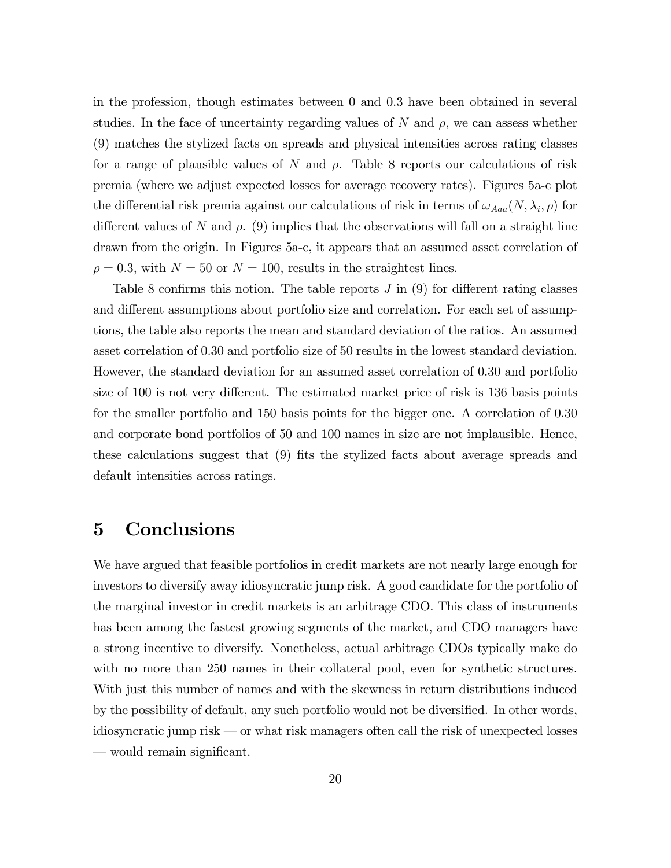in the profession, though estimates between 0 and 0.3 have been obtained in several studies. In the face of uncertainty regarding values of N and  $\rho$ , we can assess whether (9) matches the stylized facts on spreads and physical intensities across rating classes for a range of plausible values of N and  $\rho$ . Table 8 reports our calculations of risk premia (where we adjust expected losses for average recovery rates). Figures 5a-c plot the differential risk premia against our calculations of risk in terms of  $\omega_{Aaa}(N, \lambda_i, \rho)$  for different values of N and  $\rho$ . (9) implies that the observations will fall on a straight line drawn from the origin. In Figures 5a-c, it appears that an assumed asset correlation of  $\rho = 0.3$ , with  $N = 50$  or  $N = 100$ , results in the straightest lines.

Table 8 confirms this notion. The table reports  $J$  in  $(9)$  for different rating classes and different assumptions about portfolio size and correlation. For each set of assumptions, the table also reports the mean and standard deviation of the ratios. An assumed asset correlation of 0.30 and portfolio size of 50 results in the lowest standard deviation. However, the standard deviation for an assumed asset correlation of 0.30 and portfolio size of  $100$  is not very different. The estimated market price of risk is  $136$  basis points for the smaller portfolio and 150 basis points for the bigger one. A correlation of 0.30 and corporate bond portfolios of 50 and 100 names in size are not implausible. Hence, these calculations suggest that (9) fits the stylized facts about average spreads and default intensities across ratings.

### 5 Conclusions

We have argued that feasible portfolios in credit markets are not nearly large enough for investors to diversify away idiosyncratic jump risk. A good candidate for the portfolio of the marginal investor in credit markets is an arbitrage CDO. This class of instruments has been among the fastest growing segments of the market, and CDO managers have a strong incentive to diversify. Nonetheless, actual arbitrage CDOs typically make do with no more than 250 names in their collateral pool, even for synthetic structures. With just this number of names and with the skewness in return distributions induced by the possibility of default, any such portfolio would not be diversified. In other words, idiosyncratic jump risk  $\sim$  or what risk managers often call the risk of unexpected losses  $-\omega$  would remain significant.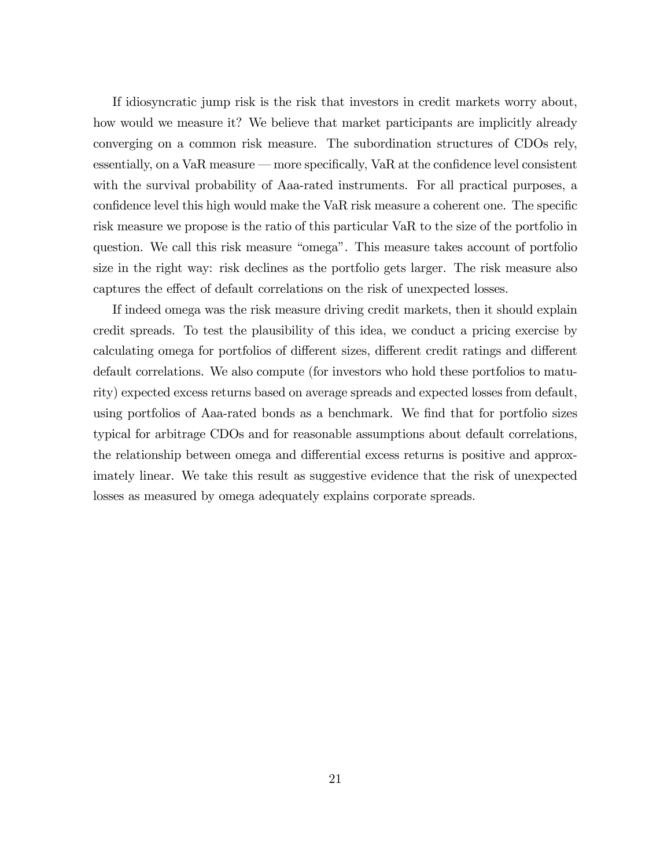If idiosyncratic jump risk is the risk that investors in credit markets worry about, how would we measure it? We believe that market participants are implicitly already converging on a common risk measure. The subordination structures of CDOs rely, essentially, on a VaR measure – more specifically, VaR at the confidence level consistent with the survival probability of Aaa-rated instruments. For all practical purposes, a confidence level this high would make the VaR risk measure a coherent one. The specific risk measure we propose is the ratio of this particular VaR to the size of the portfolio in question. We call this risk measure "omega". This measure takes account of portfolio size in the right way: risk declines as the portfolio gets larger. The risk measure also captures the effect of default correlations on the risk of unexpected losses.

If indeed omega was the risk measure driving credit markets, then it should explain credit spreads. To test the plausibility of this idea, we conduct a pricing exercise by calculating omega for portfolios of different sizes, different credit ratings and different default correlations. We also compute (for investors who hold these portfolios to maturity) expected excess returns based on average spreads and expected losses from default, using portfolios of Aaa-rated bonds as a benchmark. We find that for portfolio sizes typical for arbitrage CDOs and for reasonable assumptions about default correlations, the relationship between omega and differential excess returns is positive and approximately linear. We take this result as suggestive evidence that the risk of unexpected losses as measured by omega adequately explains corporate spreads.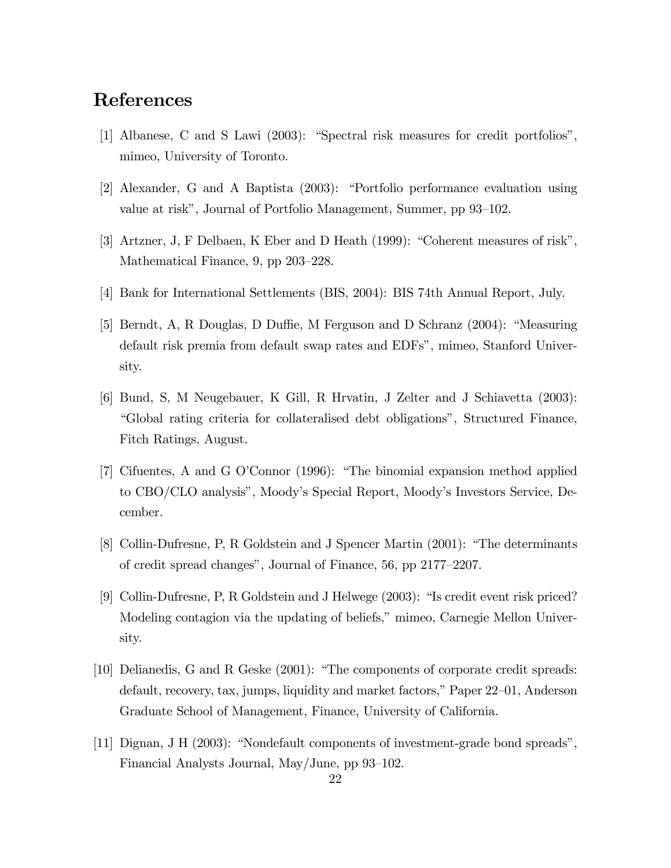# References

- [1] Albanese, C and S Lawi  $(2003)$ : "Spectral risk measures for credit portfolios", mimeo, University of Toronto.
- [2] Alexander, G and A Baptista (2003): "Portfolio performance evaluation using value at risk", Journal of Portfolio Management, Summer, pp 93–102.
- [3] Artzner, J, F Delbaen, K Eber and D Heath (1999): "Coherent measures of risk", Mathematical Finance,  $9$ , pp  $203-228$ .
- [4] Bank for International Settlements (BIS, 2004): BIS 74th Annual Report, July.
- [5] Berndt, A, R Douglas, D Duffie, M Ferguson and D Schranz  $(2004)$ : "Measuring" default risk premia from default swap rates and EDFsî, mimeo, Stanford University.
- [6] Bund, S, M Neugebauer, K Gill, R Hrvatin, J Zelter and J Schiavetta (2003): ìGlobal rating criteria for collateralised debt obligationsî, Structured Finance, Fitch Ratings, August.
- [7] Cifuentes, A and G O'Connor (1996): "The binomial expansion method applied to CBO/CLO analysisî, Moodyís Special Report, Moodyís Investors Service, December.
- [8] Collin-Dufresne, P, R Goldstein and J Spencer Martin (2001): "The determinants of credit spread changes", Journal of Finance,  $56$ , pp  $2177-2207$ .
- [9] Collin-Dufresne, P, R Goldstein and J Helwege (2003): "Is credit event risk priced? Modeling contagion via the updating of beliefs," mimeo, Carnegie Mellon University.
- [10] Delianedis, G and R Geske  $(2001)$ : "The components of corporate credit spreads: default, recovery, tax, jumps, liquidity and market factors," Paper  $22-01$ , Anderson Graduate School of Management, Finance, University of California.
- [11] Dignan, J H  $(2003)$ : "Nondefault components of investment-grade bond spreads", Financial Analysts Journal, May/June, pp  $93-102$ .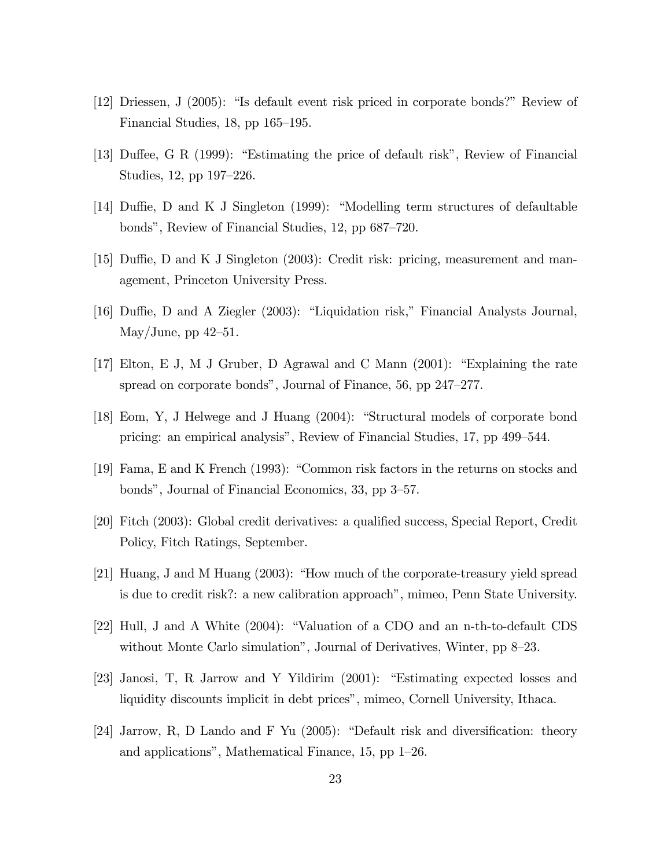- [12] Driessen, J (2005): "Is default event risk priced in corporate bonds?" Review of Financial Studies, 18, pp  $165-195$ .
- [13] Duffee, G R (1999): "Estimating the price of default risk", Review of Financial Studies, 12, pp  $197-226$ .
- [14] Duffie, D and K J Singleton (1999): "Modelling term structures of defaultable bonds", Review of Financial Studies, 12, pp 687–720.
- [15] Duffie, D and K J Singleton (2003): Credit risk: pricing, measurement and management, Princeton University Press.
- [16] Duffie, D and A Ziegler (2003): "Liquidation risk," Financial Analysts Journal, May/June, pp  $42-51$ .
- [17] Elton, E J, M J Gruber, D Agrawal and C Mann  $(2001)$ : "Explaining the rate spread on corporate bonds", Journal of Finance,  $56$ , pp  $247-277$ .
- [18] Eom, Y, J Helwege and J Huang (2004): "Structural models of corporate bond pricing: an empirical analysis", Review of Financial Studies, 17, pp 499–544.
- [19] Fama, E and K French (1993): "Common risk factors in the returns on stocks and bonds", Journal of Financial Economics, 33, pp 3–57.
- [20] Fitch (2003): Global credit derivatives: a qualified success, Special Report, Credit Policy, Fitch Ratings, September.
- [21] Huang, J and M Huang  $(2003)$ : "How much of the corporate-treasury yield spread is due to credit risk?: a new calibration approach", mimeo, Penn State University.
- [22] Hull, J and A White  $(2004)$ : "Valuation of a CDO and an n-th-to-default CDS without Monte Carlo simulation", Journal of Derivatives, Winter, pp  $8-23$ .
- [23] Janosi, T, R Jarrow and Y Yildirim  $(2001)$ : "Estimating expected losses and liquidity discounts implicit in debt prices", mimeo, Cornell University, Ithaca.
- [24] Jarrow, R, D Lando and F Yu (2005): "Default risk and diversification: theory and applications", Mathematical Finance,  $15$ , pp  $1-26$ .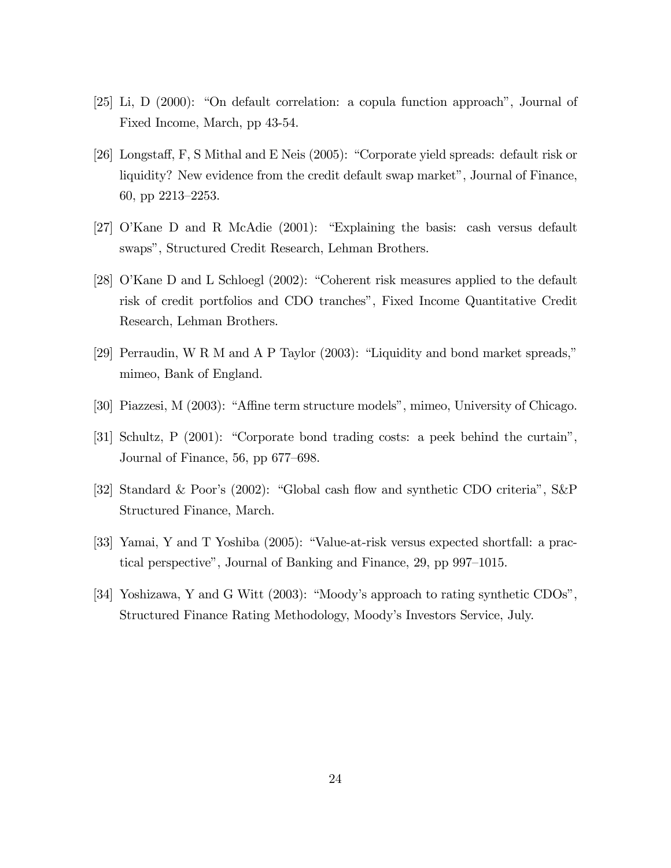- [25] Li, D (2000): "On default correlation: a copula function approach", Journal of Fixed Income, March, pp 43-54.
- [26] Longstaff, F, S Mithal and E Neis (2005): "Corporate yield spreads: default risk or liquidity? New evidence from the credit default swap market", Journal of Finance, 60, pp  $2213-2253$ .
- [27] O'Kane D and R McAdie  $(2001)$ : "Explaining the basis: cash versus default swaps", Structured Credit Research, Lehman Brothers.
- [28] O'Kane D and L Schloegl  $(2002)$ : "Coherent risk measures applied to the default risk of credit portfolios and CDO tranches", Fixed Income Quantitative Credit Research, Lehman Brothers.
- [29] Perraudin, W R M and A P Taylor  $(2003)$ : "Liquidity and bond market spreads," mimeo, Bank of England.
- [30] Piazzesi, M (2003): "Affine term structure models", mimeo, University of Chicago.
- [31] Schultz, P  $(2001)$ : "Corporate bond trading costs: a peek behind the curtain", Journal of Finance, 56, pp  $677-698$ .
- [32] Standard & Poor's  $(2002)$ : "Global cash flow and synthetic CDO criteria", S&P Structured Finance, March.
- [33] Yamai, Y and T Yoshiba (2005): "Value-at-risk versus expected shortfall: a practical perspective", Journal of Banking and Finance,  $29$ , pp  $997-1015$ .
- [34] Yoshizawa, Y and G Witt (2003): "Moody's approach to rating synthetic CDOs", Structured Finance Rating Methodology, Moodyís Investors Service, July.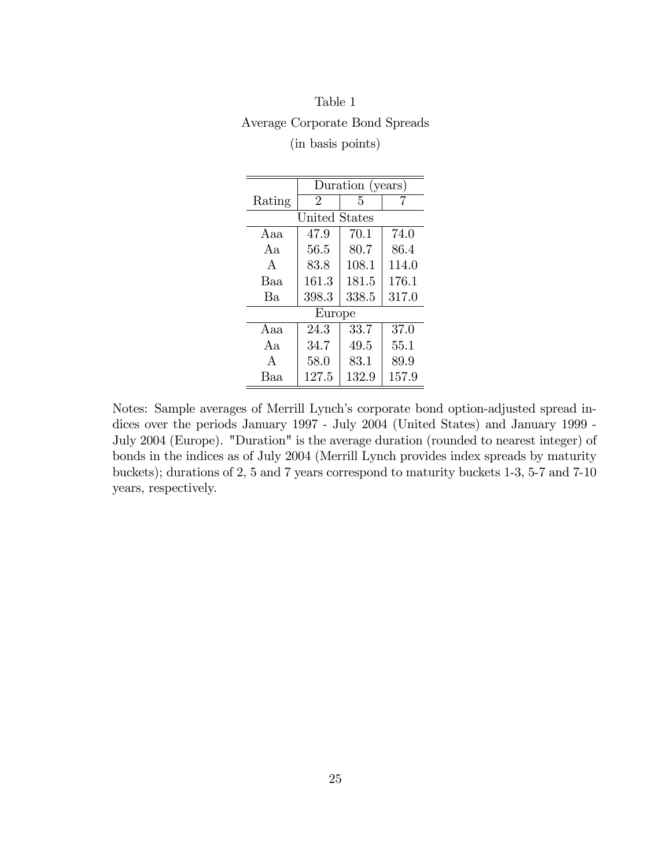| Table 1           |                                |
|-------------------|--------------------------------|
|                   | Average Corporate Bond Spreads |
| (in basis points) |                                |

|              | Duration (years) |       |       |  |  |  |  |  |  |
|--------------|------------------|-------|-------|--|--|--|--|--|--|
| Rating       | 2                | 5     |       |  |  |  |  |  |  |
|              | United States    |       |       |  |  |  |  |  |  |
| Aaa          | 47.9             | 70.1  | 74.0  |  |  |  |  |  |  |
| Aa           | 56.5             | 80.7  | 86.4  |  |  |  |  |  |  |
| $\mathsf{A}$ | 83.8             | 108.1 | 114.0 |  |  |  |  |  |  |
| Baa          | 161.3            | 181.5 | 176.1 |  |  |  |  |  |  |
| Ba           | 398.3            | 338.5 | 317.0 |  |  |  |  |  |  |
|              | Europe           |       |       |  |  |  |  |  |  |
| Aaa          | 24.3             | 33.7  | 37.0  |  |  |  |  |  |  |
| Aа           | 34.7             | 49.5  | 55.1  |  |  |  |  |  |  |
| $\mathsf{A}$ | 58.0             | 83.1  | 89.9  |  |  |  |  |  |  |
| Ваа          | 127.5            | 132.9 | 157.9 |  |  |  |  |  |  |

Notes: Sample averages of Merrill Lynch's corporate bond option-adjusted spread indices over the periods January 1997 - July 2004 (United States) and January 1999 - July 2004 (Europe). "Duration" is the average duration (rounded to nearest integer) of bonds in the indices as of July 2004 (Merrill Lynch provides index spreads by maturity buckets); durations of 2, 5 and 7 years correspond to maturity buckets 1-3, 5-7 and 7-10 years, respectively.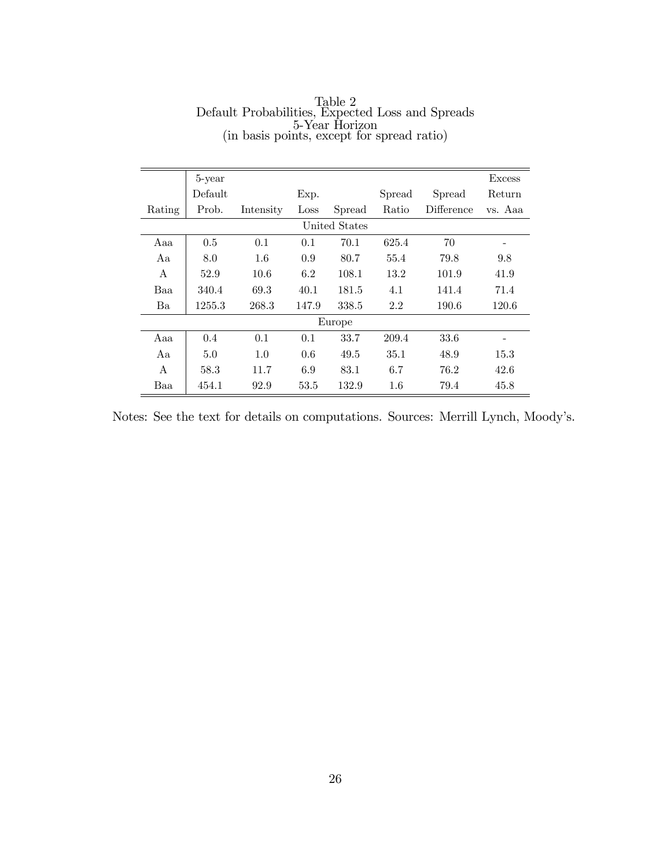|        | 5-year  |           |       |               |        |            | <b>Excess</b> |
|--------|---------|-----------|-------|---------------|--------|------------|---------------|
|        | Default |           | Exp.  |               | Spread | Spread     | Return        |
| Rating | Prob.   | Intensity | Loss  | Spread        | Ratio  | Difference | vs. Aaa       |
|        |         |           |       | United States |        |            |               |
| Aaa    | 0.5     | 0.1       | 0.1   | 70.1          | 625.4  | 70         |               |
| Aa     | 8.0     | $1.6\,$   | 0.9   | 80.7          | 55.4   | 79.8       | 9.8           |
| А      | 52.9    | 10.6      | 6.2   | 108.1         | 13.2   | 101.9      | 41.9          |
| Baa    | 340.4   | 69.3      | 40.1  | 181.5         | 4.1    | 141.4      | 71.4          |
| Ba     | 1255.3  | 268.3     | 147.9 | 338.5         | 2.2    | 190.6      | 120.6         |
|        |         |           |       | Europe        |        |            |               |
| Aaa    | 0.4     | 0.1       | 0.1   | 33.7          | 209.4  | 33.6       |               |
| Aa     | 5.0     | 1.0       | 0.6   | 49.5          | 35.1   | 48.9       | 15.3          |
| A      | 58.3    | 11.7      | 6.9   | 83.1          | 6.7    | 76.2       | 42.6          |
| Baa    | 454.1   | 92.9      | 53.5  | 132.9         | 1.6    | 79.4       | 45.8          |

Table 2 Default Probabilities, Expected Loss and Spreads 5-Year Horizon (in basis points, except for spread ratio)

Notes: See the text for details on computations. Sources: Merrill Lynch, Moody's.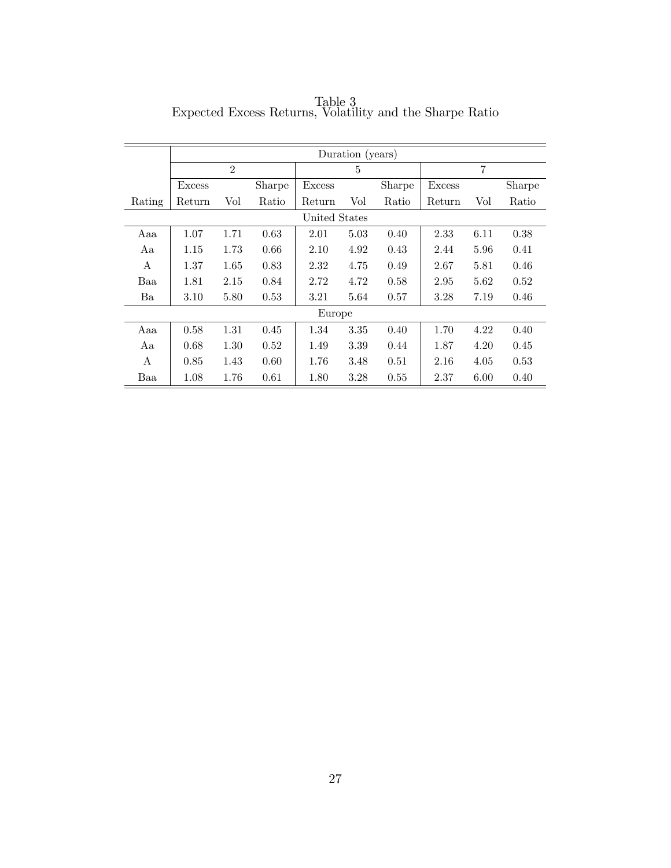|              | Duration (years) |                             |        |               |          |        |        |      |        |
|--------------|------------------|-----------------------------|--------|---------------|----------|--------|--------|------|--------|
|              |                  | $\mathcal{D}_{\mathcal{L}}$ |        |               | 5        |        |        | 7    |        |
|              | Excess           |                             | Sharpe | Excess        |          | Sharpe | Excess |      | Sharpe |
| Rating       | Return           | Vol                         | Ratio  | Return        | Vol      | Ratio  | Return | Vol  | Ratio  |
|              |                  |                             |        | United States |          |        |        |      |        |
| Aaa          | 1.07             | 1.71                        | 0.63   | 2.01          | 5.03     | 0.40   | 2.33   | 6.11 | 0.38   |
| Aa           | 1.15             | 1.73                        | 0.66   | 2.10          | 4.92     | 0.43   | 2.44   | 5.96 | 0.41   |
| $\mathsf{A}$ | 1.37             | 1.65                        | 0.83   | 2.32          | 4.75     | 0.49   | 2.67   | 5.81 | 0.46   |
| Baa          | 1.81             | 2.15                        | 0.84   | 2.72          | 4.72     | 0.58   | 2.95   | 5.62 | 0.52   |
| Ba           | 3.10             | 5.80                        | 0.53   | 3.21          | 5.64     | 0.57   | 3.28   | 7.19 | 0.46   |
|              |                  |                             |        | Europe        |          |        |        |      |        |
| Aaa          | 0.58             | 1.31                        | 0.45   | 1.34          | 3.35     | 0.40   | 1.70   | 4.22 | 0.40   |
| Aa           | 0.68             | 1.30                        | 0.52   | 1.49          | 3.39     | 0.44   | 1.87   | 4.20 | 0.45   |
| A            | 0.85             | 1.43                        | 0.60   | 1.76          | 3.48     | 0.51   | 2.16   | 4.05 | 0.53   |
| Baa          | 1.08             | 1.76                        | 0.61   | 1.80          | $3.28\,$ | 0.55   | 2.37   | 6.00 | 0.40   |

Table 3 Expected Excess Returns, Volatility and the Sharpe Ratio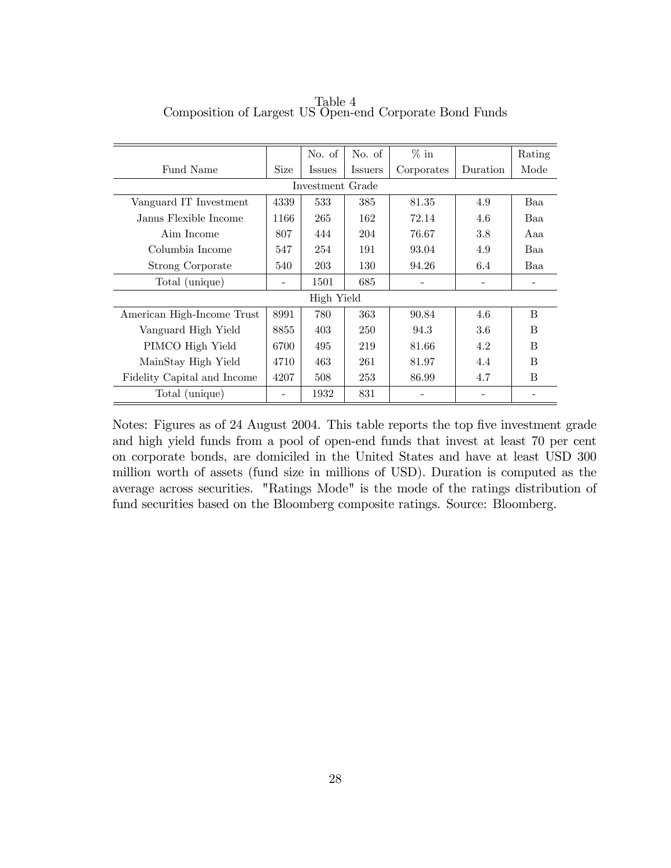|                             |             | No. of           | No. of         | $\%$ in    |          | Rating |
|-----------------------------|-------------|------------------|----------------|------------|----------|--------|
| Fund Name                   | <b>Size</b> | <i>Issues</i>    | <b>Issuers</b> | Corporates | Duration | Mode   |
|                             |             | Investment Grade |                |            |          |        |
| Vanguard IT Investment      | 4339        | 533              | 385            | 81.35      | 4.9      | Baa    |
| Janus Flexible Income       | 1166        | 265              | 162            | 72.14      | 4.6      | Baa    |
| Aim Income                  | 807         | 444              | 204            | 76.67      | 3.8      | Aaa    |
| Columbia Income             | 547         | 254              | 191            | 93.04      | 4.9      | Baa    |
| Strong Corporate            | 540         | 203              | 130            | 94.26      | 6.4      | Baa    |
| Total (unique)              |             | 1501             | 685            |            |          |        |
|                             |             | High Yield       |                |            |          |        |
| American High-Income Trust  | 8991        | 780              | 363            | 90.84      | 4.6      | B      |
| Vanguard High Yield         | 8855        | 403              | 250            | 94.3       | $3.6\,$  | B      |
| PIMCO High Yield            | 6700        | 495              | 219            | 81.66      | 4.2      | B      |
| MainStay High Yield         | 4710        | 463              | 261            | 81.97      | 4.4      | B      |
| Fidelity Capital and Income | 4207        | 508              | 253            | 86.99      | 4.7      | B      |
| Total (unique)              |             | 1932             | 831            |            |          |        |

Table 4 Composition of Largest US Open-end Corporate Bond Funds

Notes: Figures as of 24 August 2004. This table reports the top five investment grade and high yield funds from a pool of open-end funds that invest at least 70 per cent on corporate bonds, are domiciled in the United States and have at least USD 300 million worth of assets (fund size in millions of USD). Duration is computed as the average across securities. "Ratings Mode" is the mode of the ratings distribution of fund securities based on the Bloomberg composite ratings. Source: Bloomberg.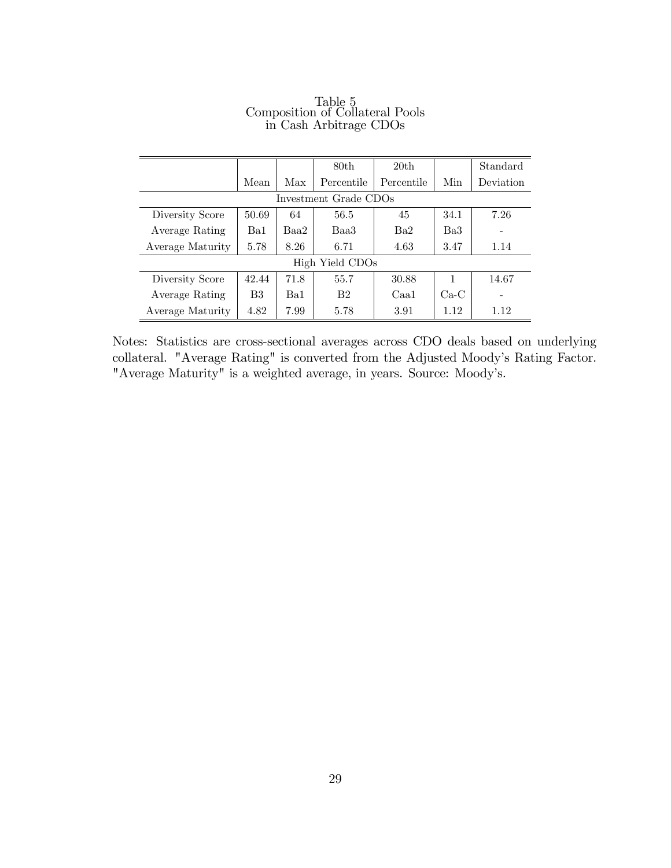|                       |       |      | 80th            | 20th            |        | Standard  |  |  |  |
|-----------------------|-------|------|-----------------|-----------------|--------|-----------|--|--|--|
|                       | Mean  | Max  | Percentile      | Percentile      | Min    | Deviation |  |  |  |
| Investment Grade CDOs |       |      |                 |                 |        |           |  |  |  |
| Diversity Score       | 50.69 | 64   | 56.5            | 45              | 34.1   | 7.26      |  |  |  |
| Average Rating        | Ba1   | Baa2 | Baa3            | Ba <sub>2</sub> | Ba3    |           |  |  |  |
| Average Maturity      | 5.78  | 8.26 | 6.71            | 4.63            | 3.47   | 1.14      |  |  |  |
|                       |       |      | High Yield CDOs |                 |        |           |  |  |  |
| Diversity Score       | 42.44 | 71.8 | 55.7            | 30.88           | 1      | 14.67     |  |  |  |
| Average Rating        | B3    | Ba1  | B <sub>2</sub>  | Caa1            | $Ca-C$ |           |  |  |  |
| Average Maturity      | 4.82  | 7.99 | 5.78            | 3.91            | 1.12   | 1.12      |  |  |  |

#### Table 5 Composition of Collateral Pools in Cash Arbitrage CDOs

Notes: Statistics are cross-sectional averages across CDO deals based on underlying collateral. "Average Rating" is converted from the Adjusted Moody's Rating Factor. "Average Maturity" is a weighted average, in years. Source: Moody's.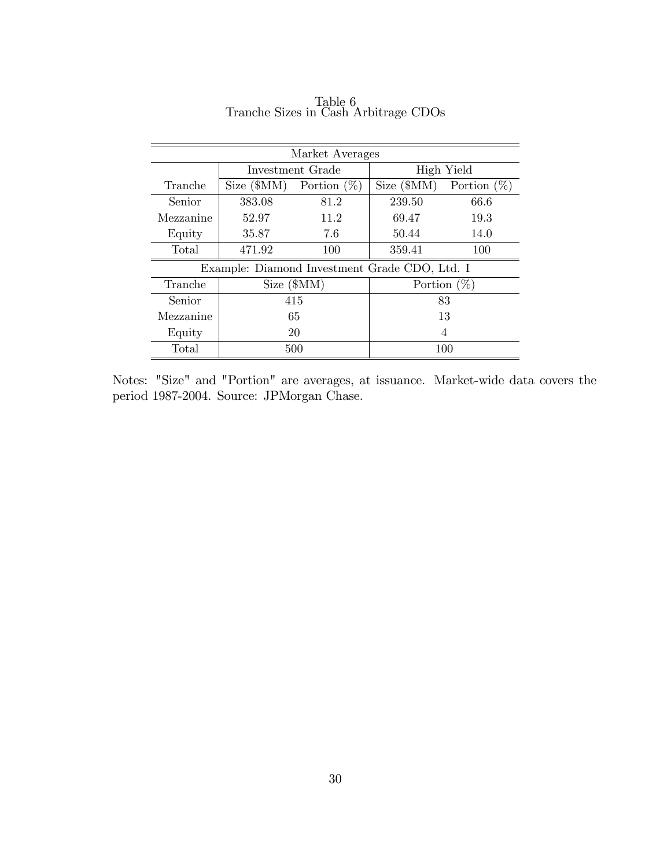| Market Averages |            |                                               |                |                |  |  |  |
|-----------------|------------|-----------------------------------------------|----------------|----------------|--|--|--|
|                 |            | Investment Grade                              |                | High Yield     |  |  |  |
| Tranche         | Size (SMM) | Portion $(\%)$                                | Size (SMM)     | Portion $(\%)$ |  |  |  |
| Senior          | 383.08     | 81.2                                          | 239.50         | 66.6           |  |  |  |
| Mezzanine       | 52.97      | 11.2                                          | 69.47          | 19.3           |  |  |  |
| Equity          | 35.87      | 7.6                                           | 50.44          | 14.0           |  |  |  |
| Total           | 471.92     | 100                                           | 359.41         | 100            |  |  |  |
|                 |            | Example: Diamond Investment Grade CDO, Ltd. I |                |                |  |  |  |
| Tranche         |            | Size (SMM)                                    | Portion $(\%)$ |                |  |  |  |
| Senior          |            | 415                                           | 83             |                |  |  |  |
| Mezzanine       | 65         |                                               | 13             |                |  |  |  |
| Equity          | 20         |                                               | 4              |                |  |  |  |
| Total           |            | 500                                           | 100            |                |  |  |  |

Table 6 Tranche Sizes in Cash Arbitrage CDOs

Notes: "Size" and "Portion" are averages, at issuance. Market-wide data covers the period 1987-2004. Source: JPMorgan Chase.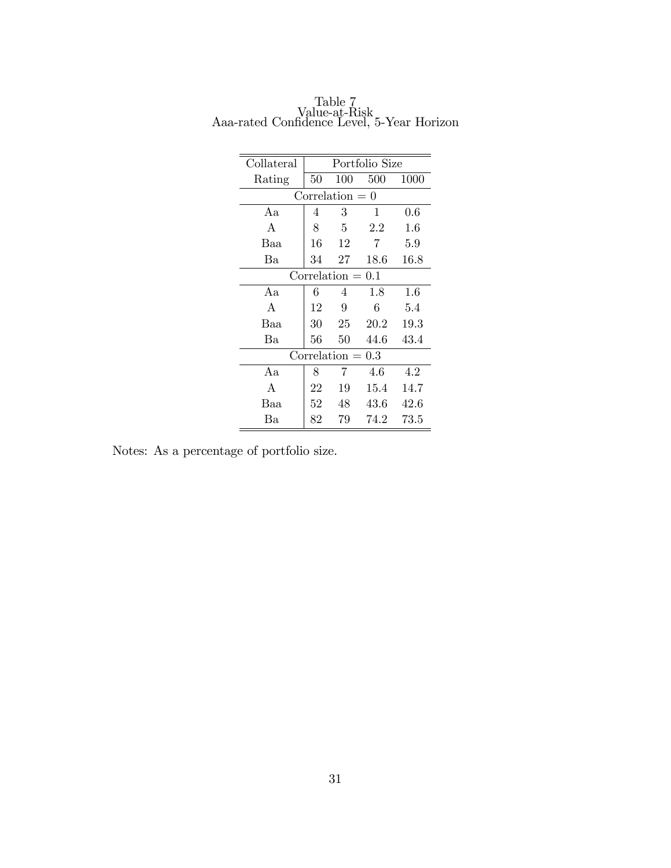| Collateral        | Portfolio Size |                     |          |         |  |  |  |  |
|-------------------|----------------|---------------------|----------|---------|--|--|--|--|
| Rating            | 50             | 100                 | 500      | 1000    |  |  |  |  |
| $Correlation = 0$ |                |                     |          |         |  |  |  |  |
| Aa                | 4              | 3                   | 1        | $0.6\,$ |  |  |  |  |
| A                 | 8              | 5                   | 2.2      | $1.6\,$ |  |  |  |  |
| Baa               | 16             | 12                  | 7        | 5.9     |  |  |  |  |
| Ba                | 34             | 27                  | 18.6     | 16.8    |  |  |  |  |
|                   |                | $Correlation = 0.1$ |          |         |  |  |  |  |
| Aa                | 6              | 4                   | 1.8      | $1.6\,$ |  |  |  |  |
| A                 | 12             | 9                   | 6        | 5.4     |  |  |  |  |
| Baa               | 30             | 25                  | 20.2     | 19.3    |  |  |  |  |
| Ba                | 56             | 50                  | 44.6     | 43.4    |  |  |  |  |
|                   |                | $Correlation =$     | $0.3\,$  |         |  |  |  |  |
| Aa                | 8              | 7                   | 4.6      | 4.2     |  |  |  |  |
| A                 | 22             | 19                  | 15.4     | 14.7    |  |  |  |  |
| Baa               | 52             | 48                  | $43.6\,$ | 42.6    |  |  |  |  |
| Ba                | 82             | 79                  | 74.2     | 73.5    |  |  |  |  |

Table 7 Value-at-Risk Aaa-rated Confidence Level, 5-Year Horizon

Notes: As a percentage of portfolio size.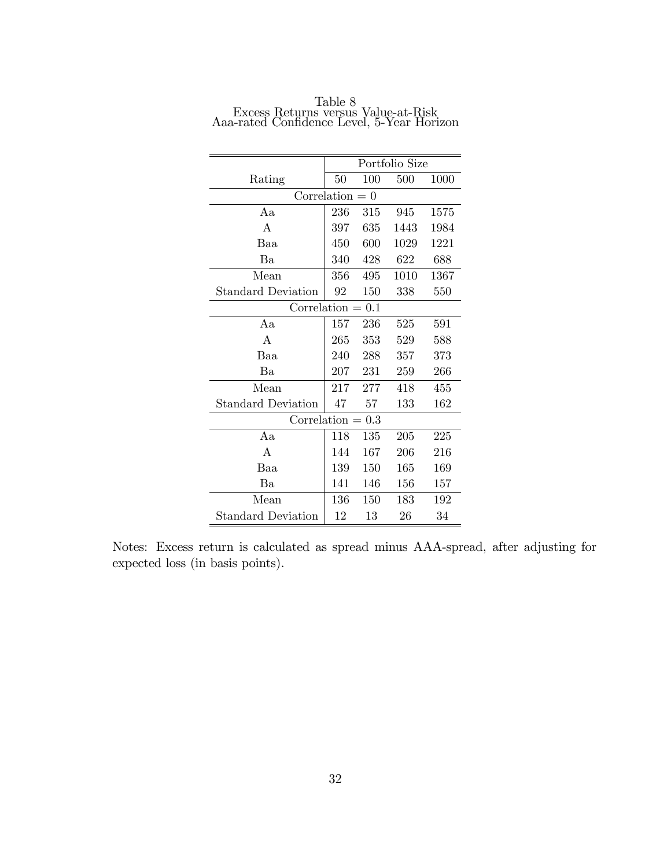|                           |     |         | Portfolio Size |      |  |  |  |
|---------------------------|-----|---------|----------------|------|--|--|--|
| Rating                    | 50  | 100     | 500            | 1000 |  |  |  |
| Correlation $= 0$         |     |         |                |      |  |  |  |
| Aа                        | 236 | 315     | 945            | 1575 |  |  |  |
| A                         | 397 | 635     | 1443           | 1984 |  |  |  |
| Baa                       | 450 | 600     | 1029           | 1221 |  |  |  |
| Ba                        | 340 | 428     | 622            | 688  |  |  |  |
| Mean                      | 356 | 495     | 1010           | 1367 |  |  |  |
| <b>Standard Deviation</b> | 92  | 150     | 338            | 550  |  |  |  |
| Correlation<br>0.1        |     |         |                |      |  |  |  |
| Aa                        | 157 | 236     | 525            | 591  |  |  |  |
| A                         | 265 | 353     | 529            | 588  |  |  |  |
| Baa                       | 240 | 288     | 357            | 373  |  |  |  |
| Ba                        | 207 | 231     | 259            | 266  |  |  |  |
| Mean                      | 217 | 277     | 418            | 455  |  |  |  |
| <b>Standard Deviation</b> | 47  | 57      | 133            | 162  |  |  |  |
| $Correlation =$           |     | 0.3     |                |      |  |  |  |
| Aa                        | 118 | 135     | 205            | 225  |  |  |  |
| A                         | 144 | 167     | 206            | 216  |  |  |  |
| Baa                       | 139 | $150\,$ | 165            | 169  |  |  |  |
| Ba                        | 141 | 146     | 156            | 157  |  |  |  |
| Mean                      | 136 | 150     | 183            | 192  |  |  |  |
| Standard Deviation        | 12  | 13      | 26             | 34   |  |  |  |

Table 8 Excess Returns versus Value-at-Risk Aaa-rated Confidence Level, 5-Year Horizon

Notes: Excess return is calculated as spread minus AAA-spread, after adjusting for expected loss (in basis points).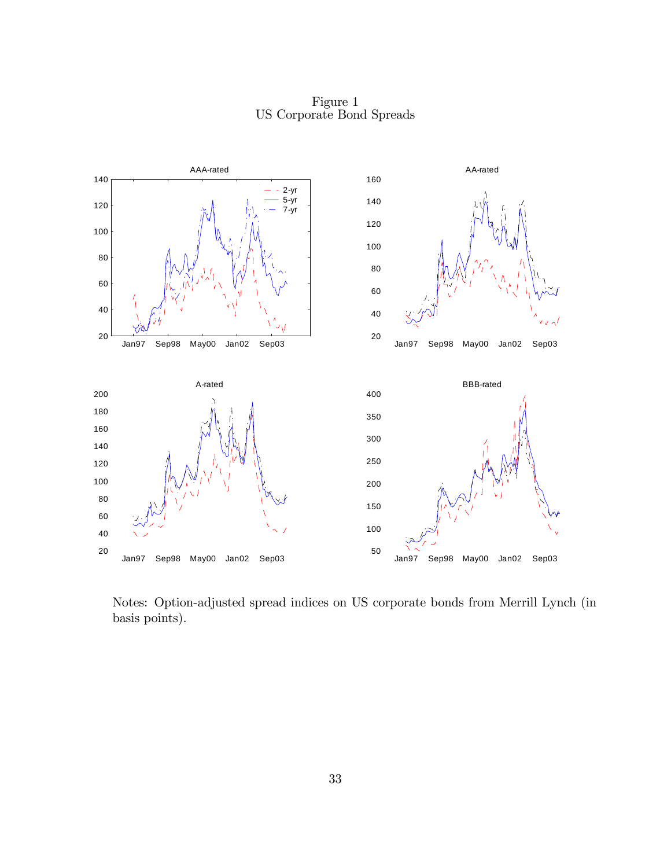Figure 1 US Corporate Bond Spreads



Notes: Option-adjusted spread indices on US corporate bonds from Merrill Lynch (in basis points).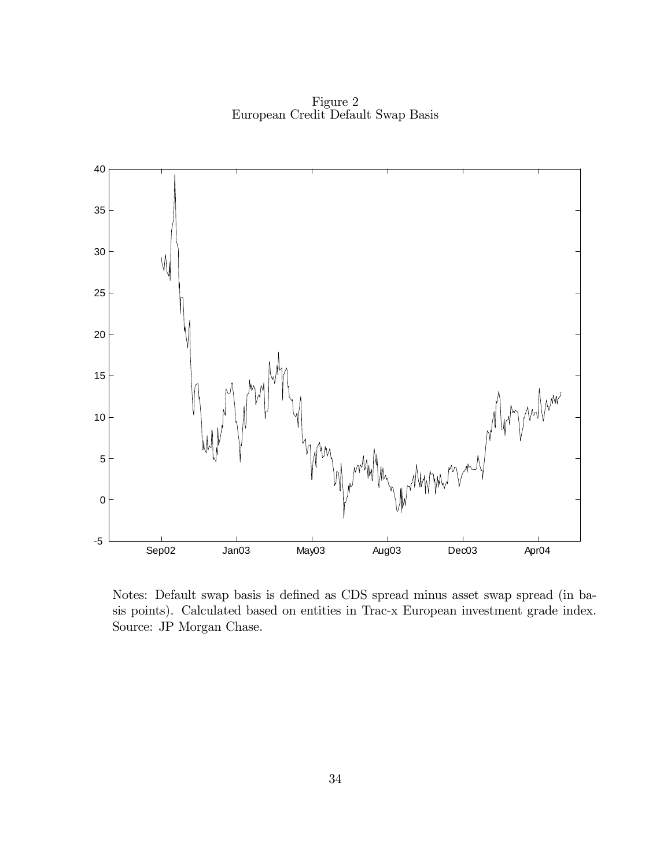Figure 2 European Credit Default Swap Basis



Notes: Default swap basis is defined as CDS spread minus asset swap spread (in basis points). Calculated based on entities in Trac-x European investment grade index. Source: JP Morgan Chase.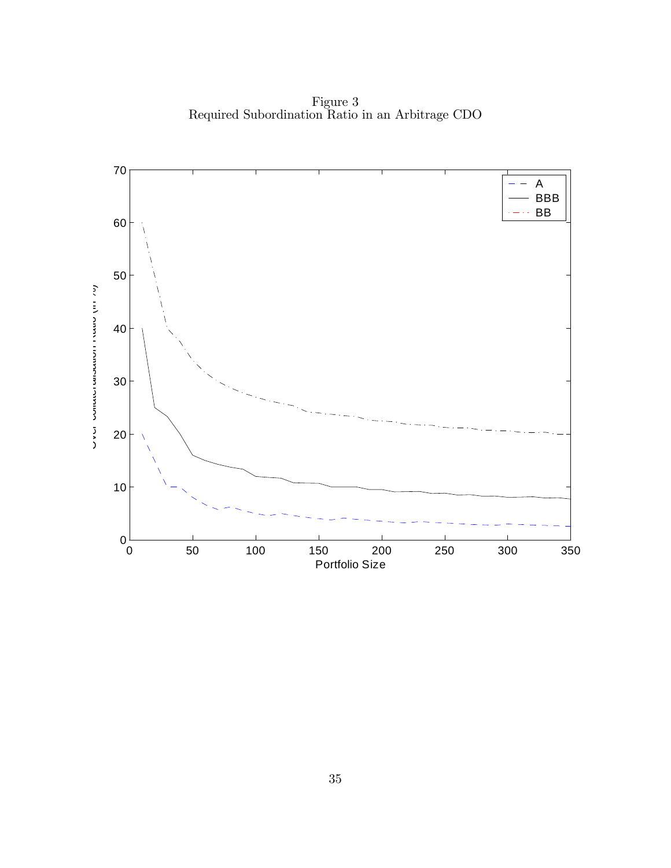Figure 3 Required Subordination Ratio in an Arbitrage CDO

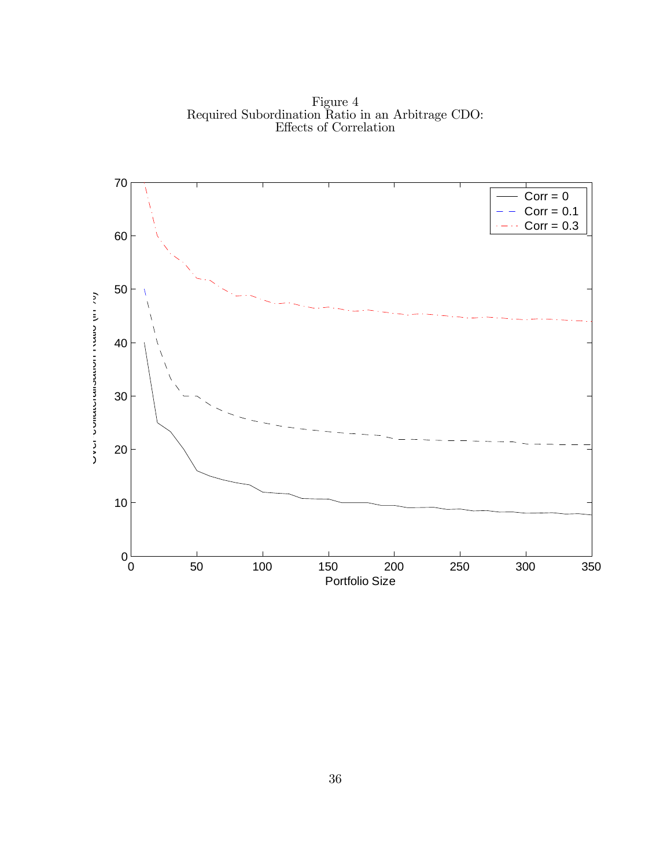Figure 4 Required Subordination Ratio in an Arbitrage CDO: Effects of Correlation

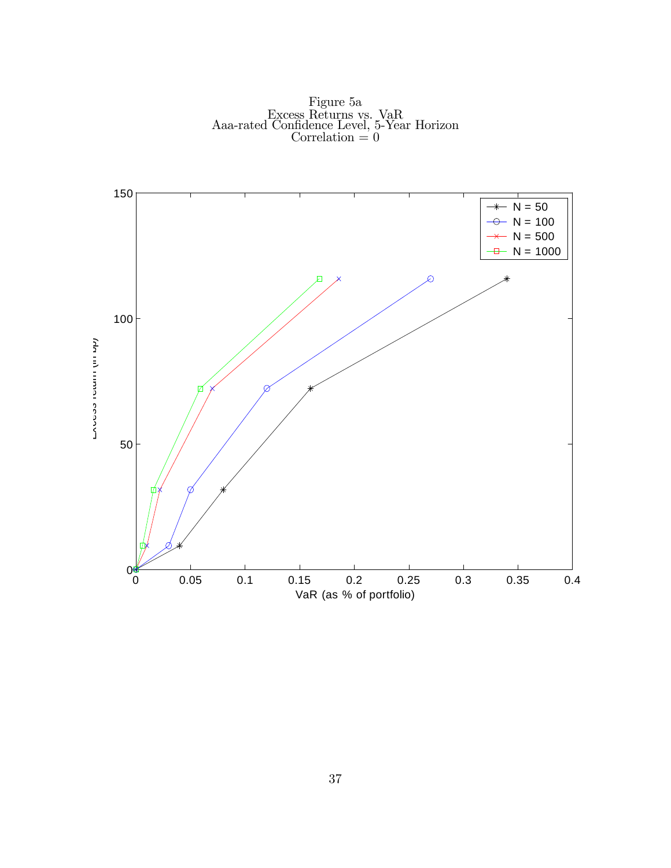

Figure 5a Excess Returns vs. VaR Aaa-rated Confidence Level, 5-Year Horizon Correlation  $= 0$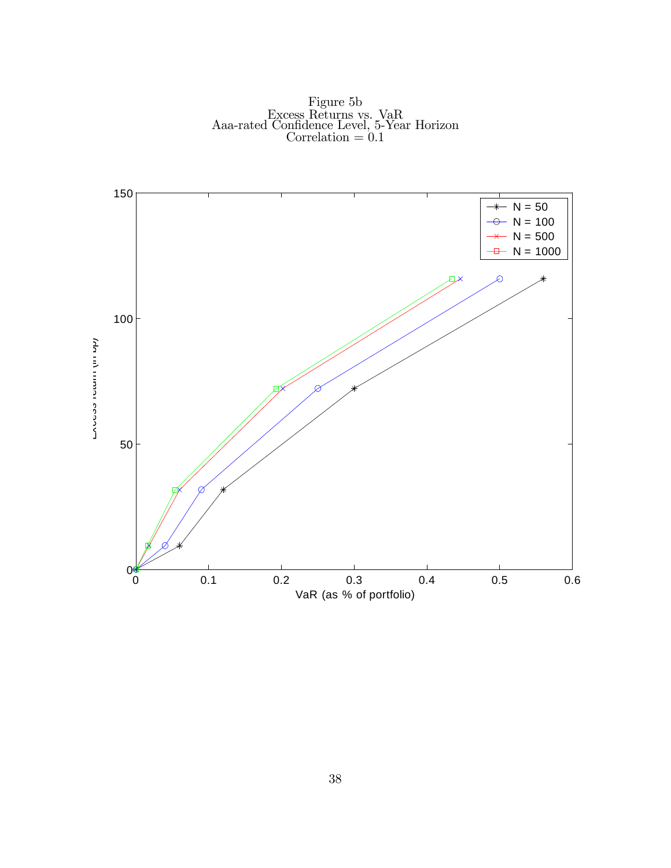Figure 5b Excess Returns vs. VaR Aaa-rated Confidence Level, 5-Year Horizon Correlation  $= 0.1$